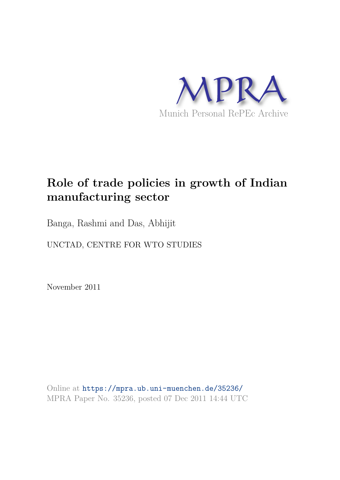

# **Role of trade policies in growth of Indian manufacturing sector**

Banga, Rashmi and Das, Abhijit

UNCTAD, CENTRE FOR WTO STUDIES

November 2011

Online at https://mpra.ub.uni-muenchen.de/35236/ MPRA Paper No. 35236, posted 07 Dec 2011 14:44 UTC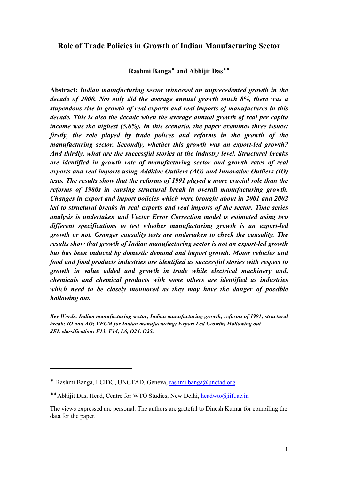# Role of Trade Policies in Growth of Indian Manufacturing Sector

#### Rashmi Banga\* and Abhijit Das\*\*

Abstract: Indian manufacturing sector witnessed an unprecedented growth in the decade of 2000. Not only did the average annual growth touch  $8\%$ , there was a stupendous rise in growth of real exports and real imports of manufactures in this decade. This is also the decade when the average annual growth of real per capita income was the highest  $(5.6\%)$ . In this scenario, the paper examines three issues: firstly, the role played by trade polices and reforms in the growth of the manufacturing sector. Secondly, whether this growth was an export-led growth? And thirdly, what are the successful stories at the industry level. Structural breaks are identified in growth rate of manufacturing sector and growth rates of real exports and real imports using Additive Outliers (AO) and Innovative Outliers (IO) tests. The results show that the reforms of 1991 played a more crucial role than the reforms of 1980s in causing structural break in overall manufacturing growth. Changes in export and import policies which were brought about in 2001 and 2002 led to structural breaks in real exports and real imports of the sector. Time series analysis is undertaken and Vector Error Correction model is estimated using two different specifications to test whether manufacturing growth is an export-led growth or not. Granger causality tests are undertaken to check the causality. The results show that growth of Indian manufacturing sector is not an export-led growth but has been induced by domestic demand and import growth. Motor vehicles and food and food products industries are identified as successful stories with respect to growth in value added and growth in trade while electrical machinery and, chemicals and chemical products with some others are identified as industries which need to be closely monitored as they may have the danger of possible hollowing out.

Key Words: Indian manufacturing sector: Indian manufacturing growth: reforms of 1991: structural break; IO and AO; VECM for Indian manufacturing; Export Led Growth; Hollowing out JEL classification: F13, F14, L6, O24, O25,

<sup>\*</sup> Rashmi Banga, ECIDC, UNCTAD, Geneva, rashmi.banga@unctad.org

<sup>\*\*</sup> Abhijit Das, Head, Centre for WTO Studies, New Delhi, headwto@iift.ac.in

The views expressed are personal. The authors are grateful to Dinesh Kumar for compiling the data for the paper.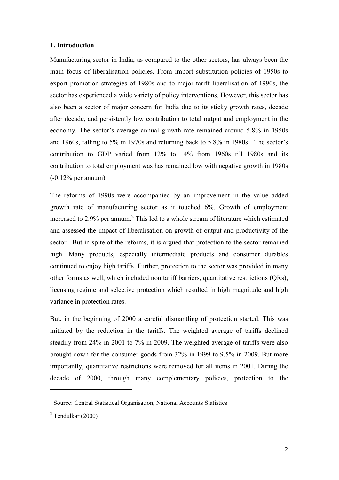#### 1. Introduction

Manufacturing sector in India, as compared to the other sectors, has always been the main focus of liberalisation policies. From import substitution policies of 1950s to export promotion strategies of 1980s and to major tariff liberalisation of 1990s, the sector has experienced a wide variety of policy interventions. However, this sector has also been a sector of major concern for India due to its sticky growth rates, decade after decade, and persistently low contribution to total output and employment in the economy. The sector's average annual growth rate remained around 5.8% in 1950s and 1960s, falling to 5% in 1970s and returning back to 5.8% in 1980s<sup>1</sup>. The sector's contribution to GDP varied from 12% to 14% from 1960s till 1980s and its contribution to total employment was has remained low with negative growth in 1980s (-0.12% per annum).

The reforms of 1990s were accompanied by an improvement in the value added growth rate of manufacturing sector as it touched 6%. Growth of employment increased to 2.9% per annum.<sup>2</sup> This led to a whole stream of literature which estimated and assessed the impact of liberalisation on growth of output and productivity of the sector. But in spite of the reforms, it is argued that protection to the sector remained high. Many products, especially intermediate products and consumer durables continued to enjoy high tariffs. Further, protection to the sector was provided in many other forms as well, which included non tariff barriers, quantitative restrictions (QRs), licensing regime and selective protection which resulted in high magnitude and high variance in protection rates.

But, in the beginning of 2000 a careful dismantling of protection started. This was initiated by the reduction in the tariffs. The weighted average of tariffs declined steadily from 24% in 2001 to 7% in 2009. The weighted average of tariffs were also brought down for the consumer goods from 32% in 1999 to 9.5% in 2009. But more importantly, quantitative restrictions were removed for all items in 2001. During the decade of 2000, through many complementary policies, protection to the

l

<sup>&</sup>lt;sup>1</sup> Source: Central Statistical Organisation, National Accounts Statistics

 $2$  Tendulkar (2000)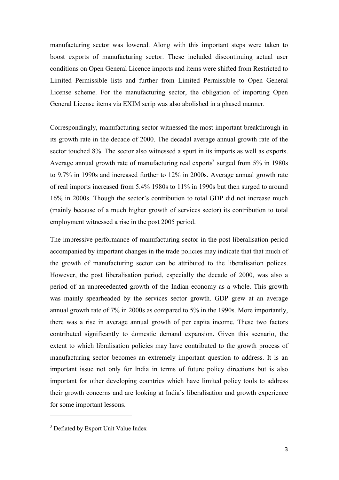manufacturing sector was lowered. Along with this important steps were taken to boost exports of manufacturing sector. These included discontinuing actual user conditions on Open General Licence imports and items were shifted from Restricted to Limited Permissible lists and further from Limited Permissible to Open General License scheme. For the manufacturing sector, the obligation of importing Open General License items via EXIM scrip was also abolished in a phased manner.

Correspondingly, manufacturing sector witnessed the most important breakthrough in its growth rate in the decade of 2000. The decadal average annual growth rate of the sector touched 8%. The sector also witnessed a spurt in its imports as well as exports. Average annual growth rate of manufacturing real exports<sup>3</sup> surged from  $5\%$  in 1980s to 9.7% in 1990s and increased further to 12% in 2000s. Average annual growth rate of real imports increased from 5.4% 1980s to 11% in 1990s but then surged to around 16% in 2000s. Though the sector's contribution to total GDP did not increase much (mainly because of a much higher growth of services sector) its contribution to total employment witnessed a rise in the post 2005 period.

The impressive performance of manufacturing sector in the post liberalisation period accompanied by important changes in the trade policies may indicate that that much of the growth of manufacturing sector can be attributed to the liberalisation polices. However, the post liberalisation period, especially the decade of 2000, was also a period of an unprecedented growth of the Indian economy as a whole. This growth was mainly spearheaded by the services sector growth. GDP grew at an average annual growth rate of 7% in 2000s as compared to 5% in the 1990s. More importantly, there was a rise in average annual growth of per capita income. These two factors contributed significantly to domestic demand expansion. Given this scenario, the extent to which libralisation policies may have contributed to the growth process of manufacturing sector becomes an extremely important question to address. It is an important issue not only for India in terms of future policy directions but is also important for other developing countries which have limited policy tools to address their growth concerns and are looking at India's liberalisation and growth experience for some important lessons.

 $\overline{\phantom{a}}$ 

<sup>&</sup>lt;sup>3</sup> Deflated by Export Unit Value Index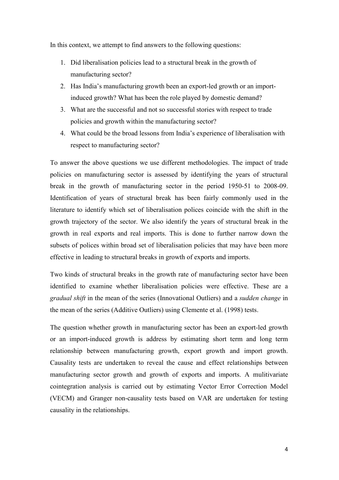In this context, we attempt to find answers to the following questions:

- 1. Did liberalisation policies lead to a structural break in the growth of manufacturing sector?
- 2. Has India's manufacturing growth been an export-led growth or an importinduced growth? What has been the role played by domestic demand?
- 3. What are the successful and not so successful stories with respect to trade policies and growth within the manufacturing sector?
- 4. What could be the broad lessons from India's experience of liberalisation with respect to manufacturing sector?

To answer the above questions we use different methodologies. The impact of trade policies on manufacturing sector is assessed by identifying the years of structural break in the growth of manufacturing sector in the period 1950-51 to 2008-09. Identification of years of structural break has been fairly commonly used in the literature to identify which set of liberalisation polices coincide with the shift in the growth trajectory of the sector. We also identify the years of structural break in the growth in real exports and real imports. This is done to further narrow down the subsets of polices within broad set of liberalisation policies that may have been more effective in leading to structural breaks in growth of exports and imports.

Two kinds of structural breaks in the growth rate of manufacturing sector have been identified to examine whether liberalisation policies were effective. These are a gradual shift in the mean of the series (Innovational Outliers) and a *sudden change* in the mean of the series (Additive Outliers) using Clemente et al. (1998) tests.

The question whether growth in manufacturing sector has been an export-led growth or an import-induced growth is address by estimating short term and long term relationship between manufacturing growth, export growth and import growth. Causality tests are undertaken to reveal the cause and effect relationships between manufacturing sector growth and growth of exports and imports. A mulitivariate cointegration analysis is carried out by estimating Vector Error Correction Model (VECM) and Granger non-causality tests based on VAR are undertaken for testing causality in the relationships.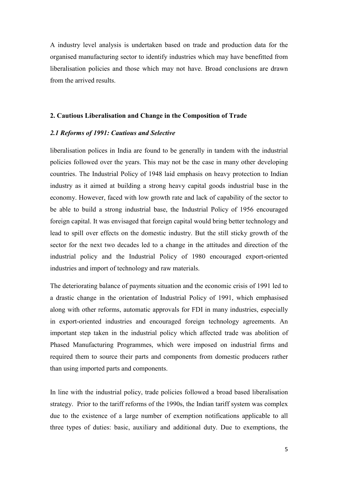A industry level analysis is undertaken based on trade and production data for the organised manufacturing sector to identify industries which may have benefitted from liberalisation policies and those which may not have. Broad conclusions are drawn from the arrived results.

#### 2. Cautious Liberalisation and Change in the Composition of Trade

#### 2.1 Reforms of 1991: Cautious and Selective

liberalisation polices in India are found to be generally in tandem with the industrial policies followed over the years. This may not be the case in many other developing countries. The Industrial Policy of 1948 laid emphasis on heavy protection to Indian industry as it aimed at building a strong heavy capital goods industrial base in the economy. However, faced with low growth rate and lack of capability of the sector to be able to build a strong industrial base, the Industrial Policy of 1956 encouraged foreign capital. It was envisaged that foreign capital would bring better technology and lead to spill over effects on the domestic industry. But the still sticky growth of the sector for the next two decades led to a change in the attitudes and direction of the industrial policy and the Industrial Policy of 1980 encouraged export-oriented industries and import of technology and raw materials.

The deteriorating balance of payments situation and the economic crisis of 1991 led to a drastic change in the orientation of Industrial Policy of 1991, which emphasised along with other reforms, automatic approvals for FDI in many industries, especially in export-oriented industries and encouraged foreign technology agreements. An important step taken in the industrial policy which affected trade was abolition of Phased Manufacturing Programmes, which were imposed on industrial firms and required them to source their parts and components from domestic producers rather than using imported parts and components.

In line with the industrial policy, trade policies followed a broad based liberalisation strategy. Prior to the tariff reforms of the 1990s, the Indian tariff system was complex due to the existence of a large number of exemption notifications applicable to all three types of duties: basic, auxiliary and additional duty. Due to exemptions, the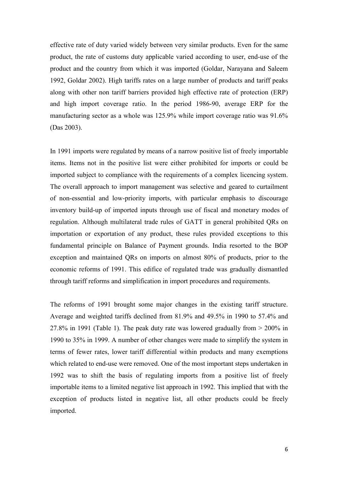effective rate of duty varied widely between very similar products. Even for the same product, the rate of customs duty applicable varied according to user, end-use of the product and the country from which it was imported (Goldar, Narayana and Saleem 1992, Goldar 2002). High tariffs rates on a large number of products and tariff peaks along with other non tariff barriers provided high effective rate of protection (ERP) and high import coverage ratio. In the period 1986-90, average ERP for the manufacturing sector as a whole was 125.9% while import coverage ratio was 91.6% (Das 2003).

In 1991 imports were regulated by means of a narrow positive list of freely importable items. Items not in the positive list were either prohibited for imports or could be imported subject to compliance with the requirements of a complex licencing system. The overall approach to import management was selective and geared to curtailment of non-essential and low-priority imports, with particular emphasis to discourage inventory build-up of imported inputs through use of fiscal and monetary modes of regulation. Although multilateral trade rules of GATT in general prohibited QRs on importation or exportation of any product, these rules provided exceptions to this fundamental principle on Balance of Payment grounds. India resorted to the BOP exception and maintained QRs on imports on almost 80% of products, prior to the economic reforms of 1991. This edifice of regulated trade was gradually dismantled through tariff reforms and simplification in import procedures and requirements.

The reforms of 1991 brought some major changes in the existing tariff structure. Average and weighted tariffs declined from 81.9% and 49.5% in 1990 to 57.4% and 27.8% in 1991 (Table 1). The peak duty rate was lowered gradually from > 200% in 1990 to 35% in 1999. A number of other changes were made to simplify the system in terms of fewer rates, lower tariff differential within products and many exemptions which related to end-use were removed. One of the most important steps undertaken in 1992 was to shift the basis of regulating imports from a positive list of freely importable items to a limited negative list approach in 1992. This implied that with the exception of products listed in negative list, all other products could be freely imported.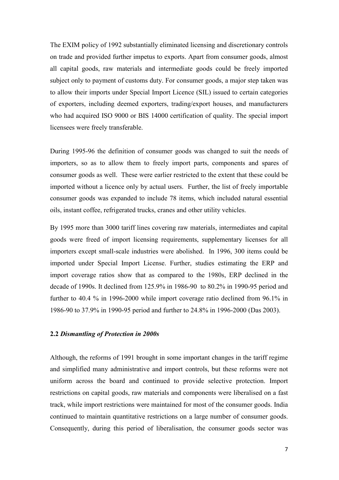The EXIM policy of 1992 substantially eliminated licensing and discretionary controls on trade and provided further impetus to exports. Apart from consumer goods, almost all capital goods, raw materials and intermediate goods could be freely imported subject only to payment of customs duty. For consumer goods, a major step taken was to allow their imports under Special Import Licence (SIL) issued to certain categories of exporters, including deemed exporters, trading/export houses, and manufacturers who had acquired ISO 9000 or BIS 14000 certification of quality. The special import licensees were freely transferable.

During 1995-96 the definition of consumer goods was changed to suit the needs of importers, so as to allow them to freely import parts, components and spares of consumer goods as well. These were earlier restricted to the extent that these could be imported without a licence only by actual users. Further, the list of freely importable consumer goods was expanded to include 78 items, which included natural essential oils, instant coffee, refrigerated trucks, cranes and other utility vehicles.

By 1995 more than 3000 tariff lines covering raw materials, intermediates and capital goods were freed of import licensing requirements, supplementary licenses for all importers except small-scale industries were abolished. In 1996, 300 items could be imported under Special Import License. Further, studies estimating the ERP and import coverage ratios show that as compared to the 1980s, ERP declined in the decade of 1990s. It declined from 125.9% in 1986-90 to 80.2% in 1990-95 period and further to 40.4 % in 1996-2000 while import coverage ratio declined from 96.1% in 1986-90 to 37.9% in 1990-95 period and further to 24.8% in 1996-2000 (Das 2003).

#### **2.2 Dismantling of Protection in 2000s**

Although, the reforms of 1991 brought in some important changes in the tariff regime and simplified many administrative and import controls, but these reforms were not uniform across the board and continued to provide selective protection. Import restrictions on capital goods, raw materials and components were liberalised on a fast track, while import restrictions were maintained for most of the consumer goods. India continued to maintain quantitative restrictions on a large number of consumer goods. Consequently, during this period of liberalisation, the consumer goods sector was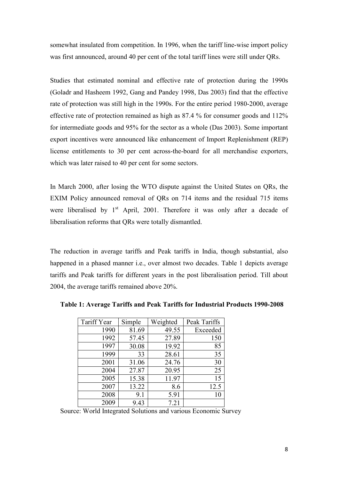somewhat insulated from competition. In 1996, when the tariff line-wise import policy was first announced, around 40 per cent of the total tariff lines were still under QRs.

Studies that estimated nominal and effective rate of protection during the 1990s (Goladr and Hasheem 1992, Gang and Pandey 1998, Das 2003) find that the effective rate of protection was still high in the 1990s. For the entire period 1980-2000, average effective rate of protection remained as high as 87.4 % for consumer goods and 112% for intermediate goods and 95% for the sector as a whole (Das 2003). Some important export incentives were announced like enhancement of Import Replenishment (REP) license entitlements to 30 per cent across-the-board for all merchandise exporters, which was later raised to 40 per cent for some sectors.

In March 2000, after losing the WTO dispute against the United States on QRs, the EXIM Policy announced removal of QRs on 714 items and the residual 715 items were liberalised by  $1<sup>st</sup>$  April, 2001. Therefore it was only after a decade of liberalisation reforms that QRs were totally dismantled.

The reduction in average tariffs and Peak tariffs in India, though substantial, also happened in a phased manner i.e., over almost two decades. Table 1 depicts average tariffs and Peak tariffs for different years in the post liberalisation period. Till about 2004, the average tariffs remained above 20%.

| Tariff Year | Simple | Weighted | Peak Tariffs |
|-------------|--------|----------|--------------|
| 1990        | 81.69  | 49.55    | Exceeded     |
| 1992        | 57.45  | 27.89    | 150          |
| 1997        | 30.08  | 19.92    | 85           |
| 1999        | 33     | 28.61    | 35           |
| 2001        | 31.06  | 24.76    | 30           |
| 2004        | 27.87  | 20.95    | 25           |
| 2005        | 15.38  | 11.97    | 15           |
| 2007        | 13.22  | 8.6      | 12.5         |
| 2008        | 9.1    | 5.91     | 10           |
| 2009        | 9.43   | 7.21     |              |

Table 1: Average Tariffs and Peak Tariffs for Industrial Products 1990-2008

Source: World Integrated Solutions and various Economic Survey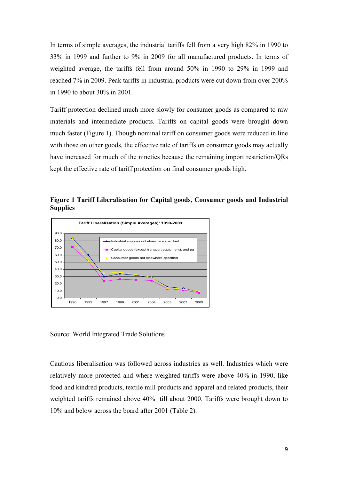In terms of simple averages, the industrial tariffs fell from a very high 82% in 1990 to 33% in 1999 and further to 9% in 2009 for all manufactured products. In terms of weighted average, the tariffs fell from around 50% in 1990 to 29% in 1999 and reached 7% in 2009. Peak tariffs in industrial products were cut down from over 200% in 1990 to about 30% in 2001.

Tariff protection declined much more slowly for consumer goods as compared to raw materials and intermediate products. Tariffs on capital goods were brought down much faster (Figure 1). Though nominal tariff on consumer goods were reduced in line with those on other goods, the effective rate of tariffs on consumer goods may actually have increased for much of the nineties because the remaining import restriction/QRs kept the effective rate of tariff protection on final consumer goods high.

Figure 1 Tariff Liberalisation for Capital goods, Consumer goods and Industrial **Supplies** 



Source: World Integrated Trade Solutions

Cautious liberalisation was followed across industries as well. Industries which were relatively more protected and where weighted tariffs were above 40% in 1990, like food and kindred products, textile mill products and apparel and related products, their weighted tariffs remained above 40% till about 2000. Tariffs were brought down to 10% and below across the board after 2001 (Table 2).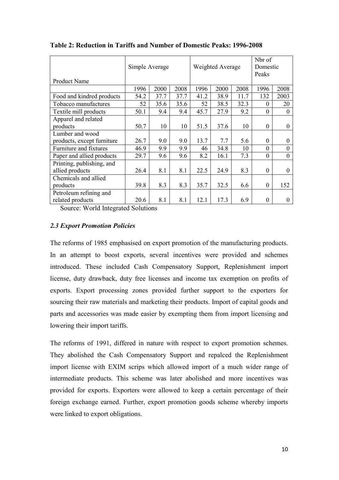|                            | Simple Average |      |      | Weighted Average |      |      | Nbr of<br>Domestic<br>Peaks |              |
|----------------------------|----------------|------|------|------------------|------|------|-----------------------------|--------------|
| <b>Product Name</b>        |                |      |      |                  |      |      |                             |              |
|                            | 1996           | 2000 | 2008 | 1996             | 2000 | 2008 | 1996                        | 2008         |
| Food and kindred products  | 54.2           | 37.7 | 37.7 | 41.2             | 38.9 | 11.7 | 132                         | 2003         |
| Tobacco manufactures       | 52             | 35.6 | 35.6 | 52               | 38.5 | 32.3 | $\Omega$                    | 20           |
| Textile mill products      | 50.1           | 9.4  | 9.4  | 45.7             | 27.9 | 9.2  | $\Omega$                    | $\Omega$     |
| Apparel and related        |                |      |      |                  |      |      |                             |              |
| products                   | 50.7           | 10   | 10   | 51.5             | 37.6 | 10   | $\theta$                    | $\theta$     |
| Lumber and wood            |                |      |      |                  |      |      |                             |              |
| products, except furniture | 26.7           | 9.0  | 9.0  | 13.7             | 7.7  | 5.6  | $\Omega$                    | $\theta$     |
| Furniture and fixtures     | 46.9           | 9.9  | 9.9  | 46               | 34.8 | 10   | $\Omega$                    | $\theta$     |
| Paper and allied products  | 29.7           | 9.6  | 9.6  | 8.2              | 16.1 | 7.3  | $\Omega$                    | $\theta$     |
| Printing, publishing, and  |                |      |      |                  |      |      |                             |              |
| allied products            | 26.4           | 8.1  | 8.1  | 22.5             | 24.9 | 8.3  | $\Omega$                    | $\Omega$     |
| Chemicals and allied       |                |      |      |                  |      |      |                             |              |
| products                   | 39.8           | 8.3  | 8.3  | 35.7             | 32.5 | 6.6  | $\theta$                    | 152          |
| Petroleum refining and     |                |      |      |                  |      |      |                             |              |
| related products           | 20.6           | 8.1  | 8.1  | 12.1             | 17.3 | 6.9  | $\Omega$                    | $\mathbf{0}$ |

Table 2: Reduction in Tariffs and Number of Domestic Peaks: 1996-2008

Source: World Integrated Solutions

# 2.3 Export Promotion Policies

The reforms of 1985 emphasised on export promotion of the manufacturing products. In an attempt to boost exports, several incentives were provided and schemes introduced. These included Cash Compensatory Support, Replenishment import license, duty drawback, duty free licenses and income tax exemption on profits of exports. Export processing zones provided further support to the exporters for sourcing their raw materials and marketing their products. Import of capital goods and parts and accessories was made easier by exempting them from import licensing and lowering their import tariffs.

The reforms of 1991, differed in nature with respect to export promotion schemes. They abolished the Cash Compensatory Support and repalced the Replenishment import license with EXIM scrips which allowed import of a much wider range of intermediate products. This scheme was later abolished and more incentives was provided for exports. Exporters were allowed to keep a certain percentage of their foreign exchange earned. Further, export promotion goods scheme whereby imports were linked to export obligations.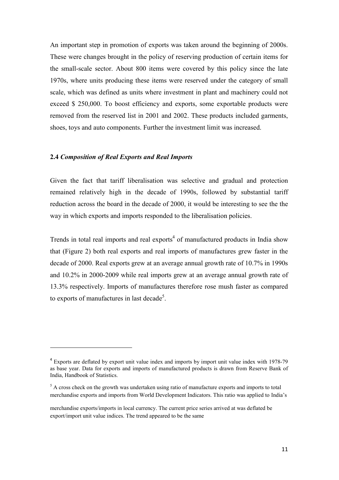An important step in promotion of exports was taken around the beginning of 2000s. These were changes brought in the policy of reserving production of certain items for the small-scale sector. About 800 items were covered by this policy since the late 1970s, where units producing these items were reserved under the category of small scale, which was defined as units where investment in plant and machinery could not exceed \$ 250,000. To boost efficiency and exports, some exportable products were removed from the reserved list in 2001 and 2002. These products included garments, shoes, toys and auto components. Further the investment limit was increased.

#### **2.4 Composition of Real Exports and Real Imports**

l

Given the fact that tariff liberalisation was selective and gradual and protection remained relatively high in the decade of 1990s, followed by substantial tariff reduction across the board in the decade of 2000, it would be interesting to see the the way in which exports and imports responded to the liberalisation policies.

Trends in total real imports and real exports<sup>4</sup> of manufactured products in India show that (Figure 2) both real exports and real imports of manufactures grew faster in the decade of 2000. Real exports grew at an average annual growth rate of 10.7% in 1990s and 10.2% in 2000-2009 while real imports grew at an average annual growth rate of 13.3% respectively. Imports of manufactures therefore rose mush faster as compared to exports of manufactures in last decade<sup>5</sup>.

<sup>&</sup>lt;sup>4</sup> Exports are deflated by export unit value index and imports by import unit value index with 1978-79 as base year. Data for exports and imports of manufactured products is drawn from Reserve Bank of India, Handbook of Statistics.

 $<sup>5</sup>$  A cross check on the growth was undertaken using ratio of manufacture exports and imports to total</sup> merchandise exports and imports from World Development Indicators. This ratio was applied to India's

merchandise exports/imports in local currency. The current price series arrived at was deflated be export/import unit value indices. The trend appeared to be the same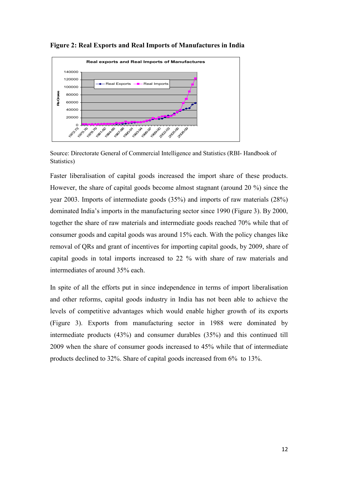

Figure 2: Real Exports and Real Imports of Manufactures in India

Source: Directorate General of Commercial Intelligence and Statistics (RBI- Handbook of Statistics)

Faster liberalisation of capital goods increased the import share of these products. However, the share of capital goods become almost stagnant (around 20 %) since the year 2003. Imports of intermediate goods (35%) and imports of raw materials (28%) dominated India's imports in the manufacturing sector since 1990 (Figure 3). By 2000, together the share of raw materials and intermediate goods reached 70% while that of consumer goods and capital goods was around 15% each. With the policy changes like removal of QRs and grant of incentives for importing capital goods, by 2009, share of capital goods in total imports increased to 22 % with share of raw materials and intermediates of around 35% each.

In spite of all the efforts put in since independence in terms of import liberalisation and other reforms, capital goods industry in India has not been able to achieve the levels of competitive advantages which would enable higher growth of its exports (Figure 3). Exports from manufacturing sector in 1988 were dominated by intermediate products (43%) and consumer durables (35%) and this continued till 2009 when the share of consumer goods increased to 45% while that of intermediate products declined to 32%. Share of capital goods increased from 6% to 13%.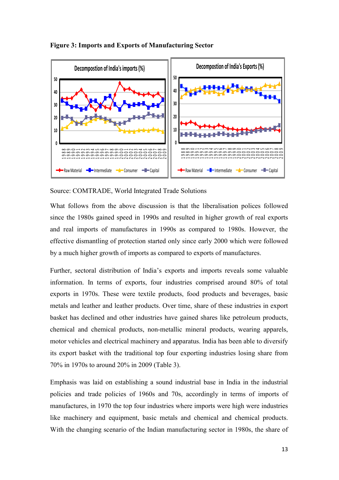

# Figure 3: Imports and Exports of Manufacturing Sector

Source: COMTRADE, World Integrated Trade Solutions

What follows from the above discussion is that the liberalisation polices followed since the 1980s gained speed in 1990s and resulted in higher growth of real exports and real imports of manufactures in 1990s as compared to 1980s. However, the effective dismantling of protection started only since early 2000 which were followed by a much higher growth of imports as compared to exports of manufactures.

Further, sectoral distribution of India's exports and imports reveals some valuable information. In terms of exports, four industries comprised around 80% of total exports in 1970s. These were textile products, food products and beverages, basic metals and leather and leather products. Over time, share of these industries in export basket has declined and other industries have gained shares like petroleum products, chemical and chemical products, non-metallic mineral products, wearing apparels, motor vehicles and electrical machinery and apparatus. India has been able to diversify its export basket with the traditional top four exporting industries losing share from 70% in 1970s to around 20% in 2009 (Table 3).

Emphasis was laid on establishing a sound industrial base in India in the industrial policies and trade policies of 1960s and 70s, accordingly in terms of imports of manufactures, in 1970 the top four industries where imports were high were industries like machinery and equipment, basic metals and chemical and chemical products. With the changing scenario of the Indian manufacturing sector in 1980s, the share of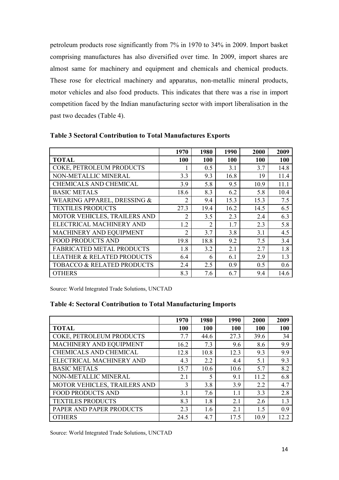petroleum products rose significantly from 7% in 1970 to 34% in 2009. Import basket comprising manufactures has also diversified over time. In 2009, import shares are almost same for machinery and equipment and chemicals and chemical products. These rose for electrical machinery and apparatus, non-metallic mineral products, motor vehicles and also food products. This indicates that there was a rise in import competition faced by the Indian manufacturing sector with import liberalisation in the past two decades (Table 4).

|                                       | 1970           | 1980           | 1990 | 2000 | 2009 |
|---------------------------------------|----------------|----------------|------|------|------|
| <b>TOTAL</b>                          | <b>100</b>     | 100            | 100  | 100  | 100  |
| COKE, PETROLEUM PRODUCTS              | 1              | 0.5            | 3.1  | 3.7  | 14.8 |
| NON-METALLIC MINERAL                  | 3.3            | 9.3            | 16.8 | 19   | 11.4 |
| CHEMICALS AND CHEMICAL                | 3.9            | 5.8            | 9.5  | 10.9 | 11.1 |
| <b>BASIC METALS</b>                   | 18.6           | 8.3            | 6.2  | 5.8  | 10.4 |
| WEARING APPAREL, DRESSING &           | 2              | 9.4            | 15.3 | 15.3 | 7.5  |
| <b>TEXTILES PRODUCTS</b>              | 27.3           | 19.4           | 16.2 | 14.5 | 6.5  |
| MOTOR VEHICLES, TRAILERS AND          | $\overline{2}$ | 3.5            | 2.3  | 2.4  | 6.3  |
| ELECTRICAL MACHINERY AND              | 1.2            | $\overline{2}$ | 1.7  | 2.3  | 5.8  |
| MACHINERY AND EQUIPMENT               | $\overline{2}$ | 3.7            | 3.8  | 3.1  | 4.5  |
| <b>FOOD PRODUCTS AND</b>              | 19.8           | 18.8           | 9.2  | 7.5  | 3.4  |
| <b>FABRICATED METAL PRODUCTS</b>      | 1.8            | 3.2            | 2.1  | 2.7  | 1.8  |
| <b>LEATHER &amp; RELATED PRODUCTS</b> | 6.4            | 6              | 6.1  | 2.9  | 1.3  |
| <b>TOBACCO &amp; RELATED PRODUCTS</b> | 2.4            | 2.5            | 0.9  | 0.5  | 0.6  |
| <b>OTHERS</b>                         | 8.3            | 7.6            | 6.7  | 9.4  | 14.6 |

Table 3 Sectoral Contribution to Total Manufactures Exports

Source: World Integrated Trade Solutions, UNCTAD

# Table 4: Sectoral Contribution to Total Manufacturing Imports

|                              | 1970 | 1980       | 1990 | 2000       | 2009 |
|------------------------------|------|------------|------|------------|------|
| <b>TOTAL</b>                 | 100  | <b>100</b> | 100  | <b>100</b> | 100  |
| COKE, PETROLEUM PRODUCTS     | 7.7  | 44.6       | 27.3 | 39.6       | 34   |
| MACHINERY AND EQUIPMENT      | 16.2 | 7.3        | 9.6  | 8.6        | 9.9  |
| CHEMICALS AND CHEMICAL       | 12.8 | 10.8       | 12.3 | 9.3        | 9.9  |
| ELECTRICAL MACHINERY AND     | 4.3  | 2.2        | 4.4  | 5.1        | 9.3  |
| <b>BASIC METALS</b>          | 15.7 | 10.6       | 10.6 | 5.7        | 8.2  |
| NON-METALLIC MINERAL         | 2.1  | 5          | 9.1  | 112        | 6.8  |
| MOTOR VEHICLES, TRAILERS AND | 3    | 3.8        | 3.9  | 2.2        | 4.7  |
| <b>FOOD PRODUCTS AND</b>     | 3.1  | 7.6        | 11   | 3.3        | 2.8  |
| <b>TEXTILES PRODUCTS</b>     | 8.3  | 1.8        | 2.1  | 2.6        | 1.3  |
| PAPER AND PAPER PRODUCTS     | 2.3  | 1.6        | 2.1  | 1.5        | 0.9  |
| <b>OTHERS</b>                | 24.5 | 4.7        | 17.5 | 10.9       | 12.2 |

Source: World Integrated Trade Solutions, UNCTAD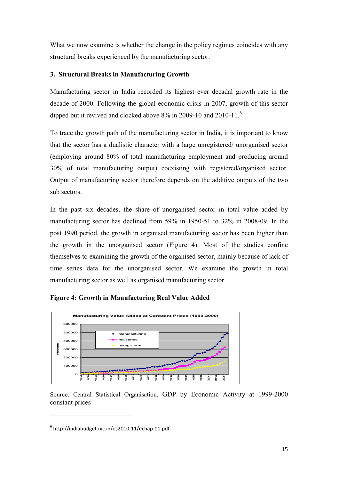What we now examine is whether the change in the policy regimes coincides with any structural breaks experienced by the manufacturing sector.

# 3. Structural Breaks in Manufacturing Growth

Manufacturing sector in India recorded its highest ever decadal growth rate in the decade of 2000. Following the global economic crisis in 2007, growth of this sector dipped but it revived and clocked above 8% in 2009-10 and 2010-11.<sup>6</sup>

To trace the growth path of the manufacturing sector in India, it is important to know that the sector has a dualistic character with a large unregistered/ unorganised sector (employing around 80% of total manufacturing employment and producing around 30% of total manufacturing output) coexisting with registered/organised sector. Output of manufacturing sector therefore depends on the additive outputs of the two sub sectors.

In the past six decades, the share of unorganised sector in total value added by manufacturing sector has declined from 59% in 1950-51 to 32% in 2008-09. In the post 1990 period, the growth in organised manufacturing sector has been higher than the growth in the unorganised sector (Figure 4). Most of the studies confine themselves to examining the growth of the organised sector, mainly because of lack of time series data for the unorganised sector. We examine the growth in total manufacturing sector as well as organised manufacturing sector.





Source: Central Statistical Organisation, GDP by Economic Activity at 1999-2000 constant prices

 $\overline{\phantom{a}}$ 

<sup>6</sup> http://indiabudget.nic.in/es2010-11/echap-01.pdf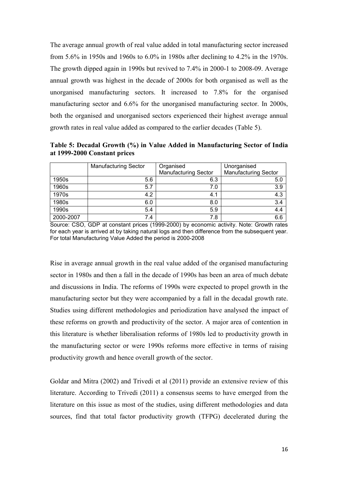The average annual growth of real value added in total manufacturing sector increased from 5.6% in 1950s and 1960s to 6.0% in 1980s after declining to 4.2% in the 1970s. The growth dipped again in 1990s but revived to 7.4% in 2000-1 to 2008-09. Average annual growth was highest in the decade of 2000s for both organised as well as the unorganised manufacturing sectors. It increased to 7.8% for the organised manufacturing sector and 6.6% for the unorganised manufacturing sector. In 2000s, both the organised and unorganised sectors experienced their highest average annual growth rates in real value added as compared to the earlier decades (Table 5).

Table 5: Decadal Growth (%) in Value Added in Manufacturing Sector of India at 1999-2000 Constant prices

|           | <b>Manufacturing Sector</b> | Organised                   | Unorganised                 |
|-----------|-----------------------------|-----------------------------|-----------------------------|
|           |                             | <b>Manufacturing Sector</b> | <b>Manufacturing Sector</b> |
| 1950s     | 5.6                         | 6.3                         | 5.0                         |
| 1960s     | 5.7                         | 7.0                         | 3.9                         |
| 1970s     | 4.2                         | 4.1                         | 4.3                         |
| 1980s     | 6.0                         | 8.0                         | 3.4                         |
| 1990s     | 5.4                         | 5.9                         | 4.4                         |
| 2000-2007 | 7.4                         | 7.8                         | 6.6                         |

Source: CSO, GDP at constant prices (1999-2000) by economic activity. Note: Growth rates for each year is arrived at by taking natural logs and then difference from the subsequent year. For total Manufacturing Value Added the period is 2000-2008

Rise in average annual growth in the real value added of the organised manufacturing sector in 1980s and then a fall in the decade of 1990s has been an area of much debate and discussions in India. The reforms of 1990s were expected to propel growth in the manufacturing sector but they were accompanied by a fall in the decadal growth rate. Studies using different methodologies and periodization have analysed the impact of these reforms on growth and productivity of the sector. A major area of contention in this literature is whether liberalisation reforms of 1980s led to productivity growth in the manufacturing sector or were 1990s reforms more effective in terms of raising productivity growth and hence overall growth of the sector.

Goldar and Mitra (2002) and Trivedi et al (2011) provide an extensive review of this literature. According to Trivedi (2011) a consensus seems to have emerged from the literature on this issue as most of the studies, using different methodologies and data sources, find that total factor productivity growth (TFPG) decelerated during the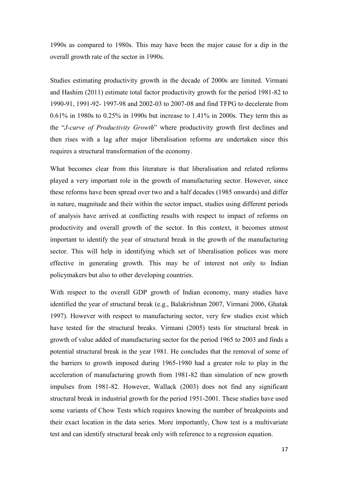1990s as compared to 1980s. This may have been the major cause for a dip in the overall growth rate of the sector in 1990s.

Studies estimating productivity growth in the decade of 2000s are limited. Virmani and Hashim (2011) estimate total factor productivity growth for the period 1981-82 to 1990-91, 1991-92- 1997-98 and 2002-03 to 2007-08 and find TFPG to decelerate from 0.61% in 1980s to 0.25% in 1990s but increase to 1.41% in 2000s. They term this as the "*J-curve of Productivity Growth*" where productivity growth first declines and then rises with a lag after major liberalisation reforms are undertaken since this requires a structural transformation of the economy.

What becomes clear from this literature is that liberalisation and related reforms played a very important role in the growth of manufacturing sector. However, since these reforms have been spread over two and a half decades (1985 onwards) and differ in nature, magnitude and their within the sector impact, studies using different periods of analysis have arrived at conflicting results with respect to impact of reforms on productivity and overall growth of the sector. In this context, it becomes utmost important to identify the year of structural break in the growth of the manufacturing sector. This will help in identifying which set of liberalisation polices was more effective in generating growth. This may be of interest not only to Indian policymakers but also to other developing countries.

With respect to the overall GDP growth of Indian economy, many studies have identified the year of structural break (e.g., Balakrishnan 2007, Virmani 2006, Ghatak 1997). However with respect to manufacturing sector, very few studies exist which have tested for the structural breaks. Virmani (2005) tests for structural break in growth of value added of manufacturing sector for the period 1965 to 2003 and finds a potential structural break in the year 1981. He concludes that the removal of some of the barriers to growth imposed during 1965-1980 had a greater role to play in the acceleration of manufacturing growth from 1981-82 than simulation of new growth impulses from 1981-82. However, Wallack (2003) does not find any significant structural break in industrial growth for the period 1951-2001. These studies have used some variants of Chow Tests which requires knowing the number of breakpoints and their exact location in the data series. More importantly, Chow test is a multivariate test and can identify structural break only with reference to a regression equation.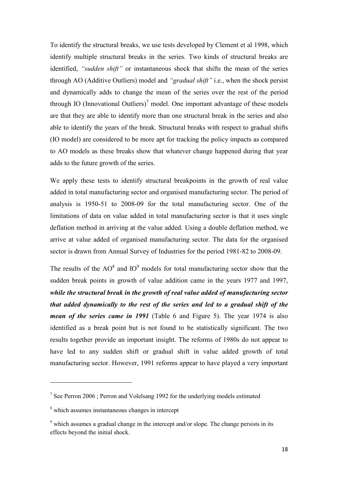To identify the structural breaks, we use tests developed by Clement et al 1998, which identify multiple structural breaks in the series. Two kinds of structural breaks are identified, "sudden shift" or instantaneous shock that shifts the mean of the series through AO (Additive Outliers) model and "*gradual shift"* i.e., when the shock persist and dynamically adds to change the mean of the series over the rest of the period through IO (Innovational Outliers)<sup>7</sup> model. One important advantage of these models are that they are able to identify more than one structural break in the series and also able to identify the years of the break. Structural breaks with respect to gradual shifts (IO model) are considered to be more apt for tracking the policy impacts as compared to AO models as these breaks show that whatever change happened during that year adds to the future growth of the series.

We apply these tests to identify structural breakpoints in the growth of real value added in total manufacturing sector and organised manufacturing sector. The period of analysis is 1950-51 to 2008-09 for the total manufacturing sector. One of the limitations of data on value added in total manufacturing sector is that it uses single deflation method in arriving at the value added. Using a double deflation method, we arrive at value added of organised manufacturing sector. The data for the organised sector is drawn from Annual Survey of Industries for the period 1981-82 to 2008-09.

The results of the  $AO^8$  and  $IO^9$  models for total manufacturing sector show that the sudden break points in growth of value addition came in the years 1977 and 1997, while the structural break in the growth of real value added of manufacturing sector that added dynamically to the rest of the series and led to a gradual shift of the *mean of the series came in 1991* (Table 6 and Figure 5). The year 1974 is also identified as a break point but is not found to be statistically significant. The two results together provide an important insight. The reforms of 1980s do not appear to have led to any sudden shift or gradual shift in value added growth of total manufacturing sector. However, 1991 reforms appear to have played a very important

 $\overline{\phantom{a}}$ 

 $7$  See Perron 2006; Perron and Volelsang 1992 for the underlying models estimated

<sup>&</sup>lt;sup>8</sup> which assumes instantaneous changes in intercept

<sup>&</sup>lt;sup>9</sup> which assumes a gradual change in the intercept and/or slope. The change persists in its effects beyond the initial shock.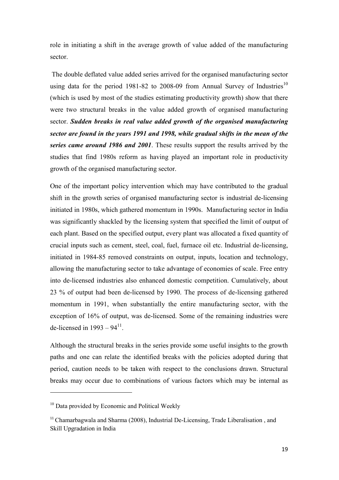role in initiating a shift in the average growth of value added of the manufacturing sector.

 The double deflated value added series arrived for the organised manufacturing sector using data for the period 1981-82 to 2008-09 from Annual Survey of Industries<sup>10</sup> (which is used by most of the studies estimating productivity growth) show that there were two structural breaks in the value added growth of organised manufacturing sector. Sudden breaks in real value added growth of the organised manufacturing sector are found in the years 1991 and 1998, while gradual shifts in the mean of the series came around 1986 and 2001. These results support the results arrived by the studies that find 1980s reform as having played an important role in productivity growth of the organised manufacturing sector.

One of the important policy intervention which may have contributed to the gradual shift in the growth series of organised manufacturing sector is industrial de-licensing initiated in 1980s, which gathered momentum in 1990s. Manufacturing sector in India was significantly shackled by the licensing system that specified the limit of output of each plant. Based on the specified output, every plant was allocated a fixed quantity of crucial inputs such as cement, steel, coal, fuel, furnace oil etc. Industrial de-licensing, initiated in 1984-85 removed constraints on output, inputs, location and technology, allowing the manufacturing sector to take advantage of economies of scale. Free entry into de-licensed industries also enhanced domestic competition. Cumulatively, about 23 % of output had been de-licensed by 1990. The process of de-licensing gathered momentum in 1991, when substantially the entire manufacturing sector, with the exception of 16% of output, was de-licensed. Some of the remaining industries were de-licensed in  $1993 - 94^{11}$ .

Although the structural breaks in the series provide some useful insights to the growth paths and one can relate the identified breaks with the policies adopted during that period, caution needs to be taken with respect to the conclusions drawn. Structural breaks may occur due to combinations of various factors which may be internal as

 $\overline{\phantom{a}}$ 

 $10$  Data provided by Economic and Political Weekly

 $11$ <sup>11</sup> Chamarbagwala and Sharma (2008), Industrial De-Licensing, Trade Liberalisation, and Skill Upgradation in India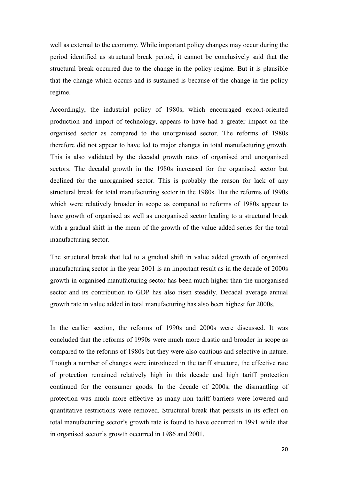well as external to the economy. While important policy changes may occur during the period identified as structural break period, it cannot be conclusively said that the structural break occurred due to the change in the policy regime. But it is plausible that the change which occurs and is sustained is because of the change in the policy regime.

Accordingly, the industrial policy of 1980s, which encouraged export-oriented production and import of technology, appears to have had a greater impact on the organised sector as compared to the unorganised sector. The reforms of 1980s therefore did not appear to have led to major changes in total manufacturing growth. This is also validated by the decadal growth rates of organised and unorganised sectors. The decadal growth in the 1980s increased for the organised sector but declined for the unorganised sector. This is probably the reason for lack of any structural break for total manufacturing sector in the 1980s. But the reforms of 1990s which were relatively broader in scope as compared to reforms of 1980s appear to have growth of organised as well as unorganised sector leading to a structural break with a gradual shift in the mean of the growth of the value added series for the total manufacturing sector.

The structural break that led to a gradual shift in value added growth of organised manufacturing sector in the year 2001 is an important result as in the decade of 2000s growth in organised manufacturing sector has been much higher than the unorganised sector and its contribution to GDP has also risen steadily. Decadal average annual growth rate in value added in total manufacturing has also been highest for 2000s.

In the earlier section, the reforms of 1990s and 2000s were discussed. It was concluded that the reforms of 1990s were much more drastic and broader in scope as compared to the reforms of 1980s but they were also cautious and selective in nature. Though a number of changes were introduced in the tariff structure, the effective rate of protection remained relatively high in this decade and high tariff protection continued for the consumer goods. In the decade of 2000s, the dismantling of protection was much more effective as many non tariff barriers were lowered and quantitative restrictions were removed. Structural break that persists in its effect on total manufacturing sector's growth rate is found to have occurred in 1991 while that in organised sector's growth occurred in 1986 and 2001.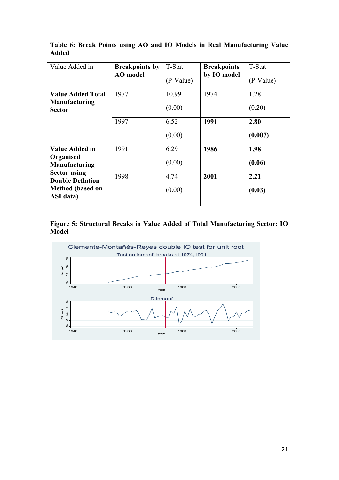| Value Added in                                 | <b>Breakpoints by</b><br><b>AO</b> model | T-Stat    | <b>Breakpoints</b><br>by IO model | T-Stat    |
|------------------------------------------------|------------------------------------------|-----------|-----------------------------------|-----------|
|                                                |                                          | (P-Value) |                                   | (P-Value) |
| <b>Value Added Total</b>                       | 1977                                     | 10.99     | 1974                              | 1.28      |
| <b>Manufacturing</b><br><b>Sector</b>          |                                          | (0.00)    |                                   | (0.20)    |
|                                                | 1997                                     | 6.52      | 1991                              | 2.80      |
|                                                |                                          | (0.00)    |                                   | (0.007)   |
| Value Added in                                 | 1991                                     | 6.29      | 1986                              | 1.98      |
| Organised<br><b>Manufacturing</b>              |                                          | (0.00)    |                                   | (0.06)    |
| <b>Sector using</b><br><b>Double Deflation</b> | 1998                                     | 4.74      | 2001                              | 2.21      |
| <b>Method</b> (based on<br>ASI data)           |                                          | (0.00)    |                                   | (0.03)    |

Table 6: Break Points using AO and IO Models in Real Manufacturing Value 

Figure 5: Structural Breaks in Value Added of Total Manufacturing Sector: IO **-** 

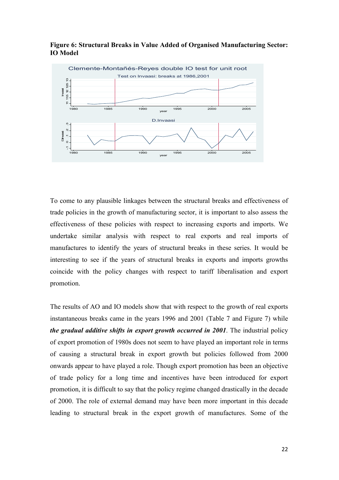

Figure 6: Structural Breaks in Value Added of Organised Manufacturing Sector: **IO** Model

To come to any plausible linkages between the structural breaks and effectiveness of trade policies in the growth of manufacturing sector, it is important to also assess the effectiveness of these policies with respect to increasing exports and imports. We undertake similar analysis with respect to real exports and real imports of manufactures to identify the years of structural breaks in these series. It would be interesting to see if the years of structural breaks in exports and imports growths coincide with the policy changes with respect to tariff liberalisation and export promotion.

The results of AO and IO models show that with respect to the growth of real exports instantaneous breaks came in the years 1996 and 2001 (Table 7 and Figure 7) while *the gradual additive shifts in export growth occurred in 2001. The industrial policy* of export promotion of 1980s does not seem to have played an important role in terms of causing a structural break in export growth but policies followed from 2000 onwards appear to have played a role. Though export promotion has been an objective of trade policy for a long time and incentives have been introduced for export promotion, it is difficult to say that the policy regime changed drastically in the decade of 2000. The role of external demand may have been more important in this decade leading to structural break in the export growth of manufactures. Some of the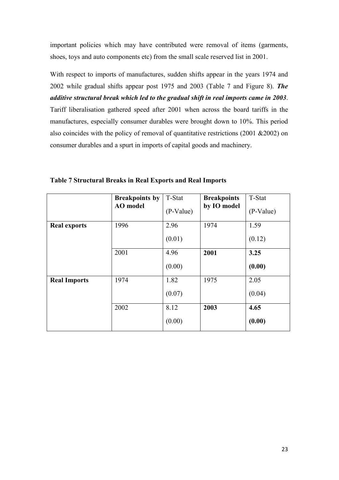important policies which may have contributed were removal of items (garments, shoes, toys and auto components etc) from the small scale reserved list in 2001.

With respect to imports of manufactures, sudden shifts appear in the years 1974 and 2002 while gradual shifts appear post 1975 and 2003 (Table 7 and Figure 8). The additive structural break which led to the gradual shift in real imports came in 2003. Tariff liberalisation gathered speed after 2001 when across the board tariffs in the manufactures, especially consumer durables were brought down to 10%. This period also coincides with the policy of removal of quantitative restrictions (2001 &2002) on consumer durables and a spurt in imports of capital goods and machinery.

|                     | <b>Breakpoints by</b><br><b>AO</b> model | T-Stat<br>$(P-Value)$ | <b>Breakpoints</b><br>by IO model | T-Stat<br>(P-Value) |
|---------------------|------------------------------------------|-----------------------|-----------------------------------|---------------------|
| <b>Real exports</b> | 1996                                     | 2.96<br>(0.01)        | 1974                              | 1.59<br>(0.12)      |
|                     | 2001                                     | 4.96<br>(0.00)        | 2001                              | 3.25<br>(0.00)      |
| <b>Real Imports</b> | 1974                                     | 1.82<br>(0.07)        | 1975                              | 2.05<br>(0.04)      |
|                     | 2002                                     | 8.12<br>(0.00)        | 2003                              | 4.65<br>(0.00)      |

**Table 7 Structural Breaks in Real Exports and Real Imports**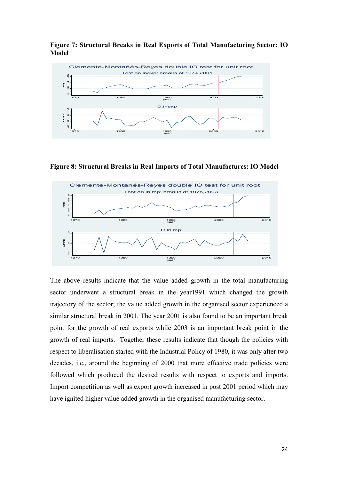

Figure 7: Structural Breaks in Real Exports of Total Manufacturing Sector: IO **-** 

Figure 8: Structural Breaks in Real Imports of Total Manufactures: IO Model



The above results indicate that the value added growth in the total manufacturing sector underwent a structural break in the year1991 which changed the growth trajectory of the sector; the value added growth in the organised sector experienced a similar structural break in 2001. The year 2001 is also found to be an important break point for the growth of real exports while 2003 is an important break point in the growth of real imports. Together these results indicate that though the policies with respect to liberalisation started with the Industrial Policy of 1980, it was only after two decades, i.e., around the beginning of 2000 that more effective trade policies were followed which produced the desired results with respect to exports and imports. Import competition as well as export growth increased in post 2001 period which may have ignited higher value added growth in the organised manufacturing sector.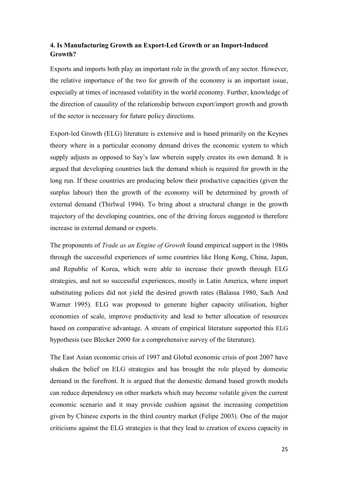# 4. Is Manufacturing Growth an Export-Led Growth or an Import-Induced **-<**

Exports and imports both play an important role in the growth of any sector. However, the relative importance of the two for growth of the economy is an important issue, especially at times of increased volatility in the world economy. Further, knowledge of the direction of causality of the relationship between export/import growth and growth of the sector is necessary for future policy directions.

Export-led Growth (ELG) literature is extensive and is based primarily on the Keynes theory where in a particular economy demand drives the economic system to which supply adjusts as opposed to Say's law wherein supply creates its own demand. It is argued that developing countries lack the demand which is required for growth in the long run. If these countries are producing below their productive capacities (given the surplus labour) then the growth of the economy will be determined by growth of external demand (Thirlwal 1994). To bring about a structural change in the growth trajectory of the developing countries, one of the driving forces suggested is therefore increase in external demand or exports.

The proponents of *Trade as an Engine of Growth* found empirical support in the 1980s through the successful experiences of some countries like Hong Kong, China, Japan, and Republic of Korea, which were able to increase their growth through ELG strategies, and not so successful experiences, mostly in Latin America, where import substituting polices did not yield the desired growth rates (Balassa 1980, Sach And Warner 1995). ELG was proposed to generate higher capacity utilisation, higher economies of scale, improve productivity and lead to better allocation of resources based on comparative advantage. A stream of empirical literature supported this ELG hypothesis (see Blecker 2000 for a comprehensive survey of the literature).

The East Asian economic crisis of 1997 and Global economic crisis of post 2007 have shaken the belief on ELG strategies and has brought the role played by domestic demand in the forefront. It is argued that the domestic demand based growth models can reduce dependency on other markets which may become volatile given the current economic scenario and it may provide cushion against the increasing competition given by Chinese exports in the third country market (Felipe 2003). One of the major criticisms against the ELG strategies is that they lead to creation of excess capacity in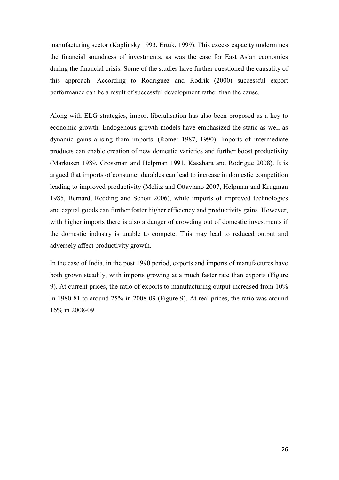manufacturing sector (Kaplinsky 1993, Ertuk, 1999). This excess capacity undermines the financial soundness of investments, as was the case for East Asian economies during the financial crisis. Some of the studies have further questioned the causality of this approach. According to Rodriguez and Rodrik (2000) successful export performance can be a result of successful development rather than the cause.

Along with ELG strategies, import liberalisation has also been proposed as a key to economic growth. Endogenous growth models have emphasized the static as well as dynamic gains arising from imports. (Romer 1987, 1990). Imports of intermediate products can enable creation of new domestic varieties and further boost productivity (Markusen 1989, Grossman and Helpman 1991, Kasahara and Rodrigue 2008). It is argued that imports of consumer durables can lead to increase in domestic competition leading to improved productivity (Melitz and Ottaviano 2007, Helpman and Krugman 1985, Bernard, Redding and Schott 2006), while imports of improved technologies and capital goods can further foster higher efficiency and productivity gains. However, with higher imports there is also a danger of crowding out of domestic investments if the domestic industry is unable to compete. This may lead to reduced output and adversely affect productivity growth.

In the case of India, in the post 1990 period, exports and imports of manufactures have both grown steadily, with imports growing at a much faster rate than exports (Figure 9). At current prices, the ratio of exports to manufacturing output increased from 10% in 1980-81 to around 25% in 2008-09 (Figure 9). At real prices, the ratio was around 16% in 2008-09.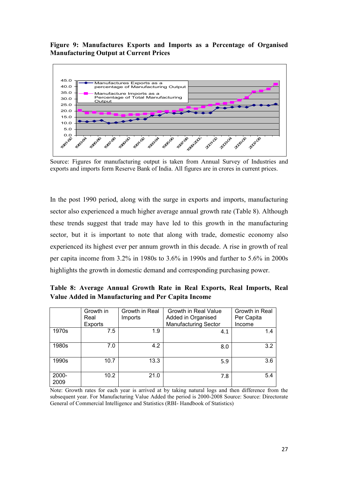### Figure 9: Manufactures Exports and Imports as a Percentage of Organised **Manufacturing Output at Current Prices**



Source: Figures for manufacturing output is taken from Annual Survey of Industries and exports and imports form Reserve Bank of India. All figures are in crores in current prices.

In the post 1990 period, along with the surge in exports and imports, manufacturing sector also experienced a much higher average annual growth rate (Table 8). Although these trends suggest that trade may have led to this growth in the manufacturing sector, but it is important to note that along with trade, domestic economy also experienced its highest ever per annum growth in this decade. A rise in growth of real per capita income from 3.2% in 1980s to 3.6% in 1990s and further to 5.6% in 2000s highlights the growth in domestic demand and corresponding purchasing power.

Table 8: Average Annual Growth Rate in Real Exports, Real Imports, Real Value Added in Manufacturing and Per Capita Income

|               | Growth in<br>Real<br><b>Exports</b> | Growth in Real<br>Imports | Growth in Real Value<br>Added in Organised<br><b>Manufacturing Sector</b> | Growth in Real<br>Per Capita<br>Income |
|---------------|-------------------------------------|---------------------------|---------------------------------------------------------------------------|----------------------------------------|
| 1970s         | 7.5                                 | 1.9                       | 4.1                                                                       | 1.4                                    |
| 1980s         | 7.0                                 | 4.2                       | 8.0                                                                       | 3.2                                    |
| 1990s         | 10.7                                | 13.3                      | 5.9                                                                       | 3.6                                    |
| 2000-<br>2009 | 10.2                                | 21.0                      | 7.8                                                                       | 5.4                                    |

Note: Growth rates for each year is arrived at by taking natural logs and then difference from the subsequent year. For Manufacturing Value Added the period is 2000-2008 Source: Source: Directorate General of Commercial Intelligence and Statistics (RBI- Handbook of Statistics)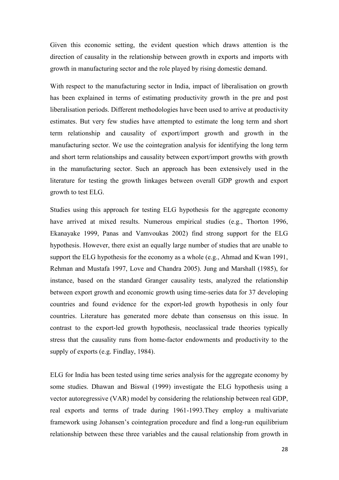Given this economic setting, the evident question which draws attention is the direction of causality in the relationship between growth in exports and imports with growth in manufacturing sector and the role played by rising domestic demand.

With respect to the manufacturing sector in India, impact of liberalisation on growth has been explained in terms of estimating productivity growth in the pre and post liberalisation periods. Different methodologies have been used to arrive at productivity estimates. But very few studies have attempted to estimate the long term and short term relationship and causality of export/import growth and growth in the manufacturing sector. We use the cointegration analysis for identifying the long term and short term relationships and causality between export/import growths with growth in the manufacturing sector. Such an approach has been extensively used in the literature for testing the growth linkages between overall GDP growth and export growth to test ELG.

Studies using this approach for testing ELG hypothesis for the aggregate economy have arrived at mixed results. Numerous empirical studies (e.g., Thorton 1996, Ekanayake 1999, Panas and Vamvoukas 2002) find strong support for the ELG hypothesis. However, there exist an equally large number of studies that are unable to support the ELG hypothesis for the economy as a whole (e.g., Ahmad and Kwan 1991, Rehman and Mustafa 1997, Love and Chandra 2005). Jung and Marshall (1985), for instance, based on the standard Granger causality tests, analyzed the relationship between export growth and economic growth using time-series data for 37 developing countries and found evidence for the export-led growth hypothesis in only four countries. Literature has generated more debate than consensus on this issue. In contrast to the export-led growth hypothesis, neoclassical trade theories typically stress that the causality runs from home-factor endowments and productivity to the supply of exports (e.g. Findlay, 1984).

ELG for India has been tested using time series analysis for the aggregate economy by some studies. Dhawan and Biswal (1999) investigate the ELG hypothesis using a vector autoregressive (VAR) model by considering the relationship between real GDP, real exports and terms of trade during 1961-1993.They employ a multivariate framework using Johansen's cointegration procedure and find a long-run equilibrium relationship between these three variables and the causal relationship from growth in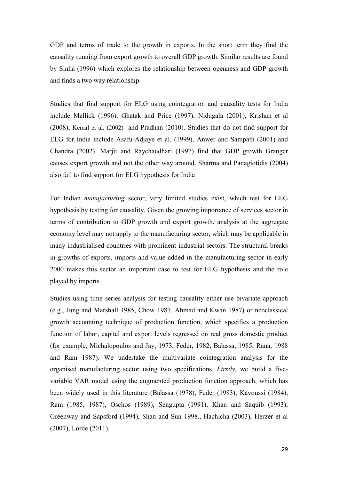GDP and terms of trade to the growth in exports. In the short term they find the causality running from export growth to overall GDP growth. Similar results are found by Sinha (1996) which explores the relationship between openness and GDP growth and finds a two way relationship.

Studies that find support for ELG using cointegration and causality tests for India include Mallick (1996), Ghatak and Price (1997), Nidugala (2001), Krishan et al (2008), Kemal et al. (2002) and Pradhan (2010). Studies that do not find support for ELG for India include Asafu-Adjaye et al. (1999), Anwer and Sampath (2001) and Chandra (2002). Marjit and Raychaudhari (1997) find that GDP growth Granger causes export growth and not the other way around. Sharma and Panagiotidis (2004) also fail to find support for ELG hypothesis for India

For Indian *manufacturing* sector, very limited studies exist, which test for ELG hypothesis by testing for causality. Given the growing importance of services sector in terms of contribution to GDP growth and export growth, analysis at the aggregate economy level may not apply to the manufacturing sector, which may be applicable in many industrialised countries with prominent industrial sectors. The structural breaks in growths of exports, imports and value added in the manufacturing sector in early 2000 makes this sector an important case to test for ELG hypothesis and the role played by imports.

Studies using time series analysis for testing causality either use bivariate approach (e.g., Jung and Marshall 1985, Chow 1987, Ahmad and Kwan 1987) or neoclassical growth accounting technique of production function, which specifies a production function of labor, capital and export levels regressed on real gross domestic product (for example, Michalopoulos and Jay, 1973, Feder, 1982, Balassa, 1985, Rana, 1988 and Ram 1987). We undertake the multivariate cointegration analysis for the organised manufacturing sector using two specifications. *Firstly*, we build a fivevariable VAR model using the augmented production function approach, which has been widely used in this literature (Balassa (1978), Feder (1983), Kavoussi (1984), Ram (1985, 1987), Oschos (1989), Sengupta (1991), Khan and Saquib (1993), Greenway and Sapsford (1994), Shan and Sun 1998., Hachicha (2003), Herzer et al (2007), Lorde (2011).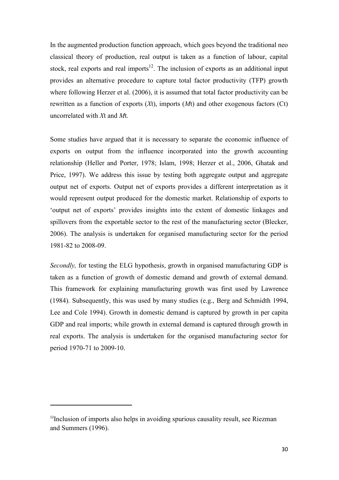In the augmented production function approach, which goes beyond the traditional neo classical theory of production, real output is taken as a function of labour, capital stock, real exports and real imports<sup>12</sup>. The inclusion of exports as an additional input provides an alternative procedure to capture total factor productivity (TFP) growth where following Herzer et al. (2006), it is assumed that total factor productivity can be rewritten as a function of exports  $(Xt)$ , imports  $(Mt)$  and other exogenous factors  $(Ct)$ uncorrelated with  $Xt$  and  $Mt$ .

Some studies have argued that it is necessary to separate the economic influence of exports on output from the influence incorporated into the growth accounting relationship (Heller and Porter, 1978; Islam, 1998; Herzer et al., 2006, Ghatak and Price, 1997). We address this issue by testing both aggregate output and aggregate output net of exports. Output net of exports provides a different interpretation as it would represent output produced for the domestic market. Relationship of exports to 'output net of exports' provides insights into the extent of domestic linkages and spillovers from the exportable sector to the rest of the manufacturing sector (Blecker, 2006). The analysis is undertaken for organised manufacturing sector for the period 1981-82 to 2008-09.

*Secondly*, for testing the ELG hypothesis, growth in organised manufacturing GDP is taken as a function of growth of domestic demand and growth of external demand. This framework for explaining manufacturing growth was first used by Lawrence (1984). Subsequently, this was used by many studies (e.g., Berg and Schmidth 1994, Lee and Cole 1994). Growth in domestic demand is captured by growth in per capita GDP and real imports; while growth in external demand is captured through growth in real exports. The analysis is undertaken for the organised manufacturing sector for period 1970-71 to 2009-10.

 $\overline{\phantom{a}}$ 

<sup>&</sup>lt;sup>12</sup>Inclusion of imports also helps in avoiding spurious causality result, see Riezman and Summers (1996).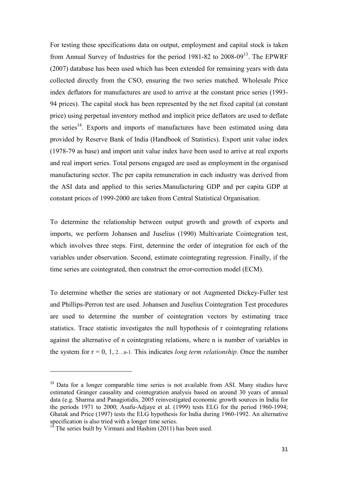For testing these specifications data on output, employment and capital stock is taken from Annual Survey of Industries for the period  $1981-82$  to  $2008-09<sup>13</sup>$ . The EPWRF (2007) database has been used which has been extended for remaining years with data collected directly from the CSO, ensuring the two series matched. Wholesale Price index deflators for manufactures are used to arrive at the constant price series (1993- 94 prices). The capital stock has been represented by the net fixed capital (at constant price) using perpetual inventory method and implicit price deflators are used to deflate the series<sup>14</sup>. Exports and imports of manufactures have been estimated using data provided by Reserve Bank of India (Handbook of Statistics). Export unit value index (1978-79 as base) and import unit value index have been used to arrive at real exports and real import series. Total persons engaged are used as employment in the organised manufacturing sector. The per capita remuneration in each industry was derived from the ASI data and applied to this series.Manufacturing GDP and per capita GDP at constant prices of 1999-2000 are taken from Central Statistical Organisation.

To determine the relationship between output growth and growth of exports and imports, we perform Johansen and Juselius (1990) Multivariate Cointegration test, which involves three steps. First, determine the order of integration for each of the variables under observation. Second, estimate cointegrating regression. Finally, if the time series are cointegrated, then construct the error-correction model (ECM).

To determine whether the series are stationary or not Augmented Dickey-Fuller test and Phillips-Perron test are used. Johansen and Juselius Cointegration Test procedures are used to determine the number of cointegration vectors by estimating trace statistics. Trace statistic investigates the null hypothesis of r cointegrating relations against the alternative of n cointegrating relations, where n is number of variables in the system for  $r = 0, 1, 2...$  n-1. This indicates *long term relationship*. Once the number

l

<sup>&</sup>lt;sup>13</sup> Data for a longer comparable time series is not available from ASI. Many studies have estimated Granger causality and cointegration analysis based on around 30 years of annual data (e.g. Sharma and Panagiotidis, 2005 reinvestigated economic growth sources in India for the periods 1971 to 2000; Asafu-Adjaye et al. (1999) tests ELG for the period 1960-1994; Ghatak and Price (1997) tests the ELG hypothesis for India during 1960-1992. An alternative specification is also tried with a longer time series.

 $14$  The series built by Virmani and Hashim (2011) has been used.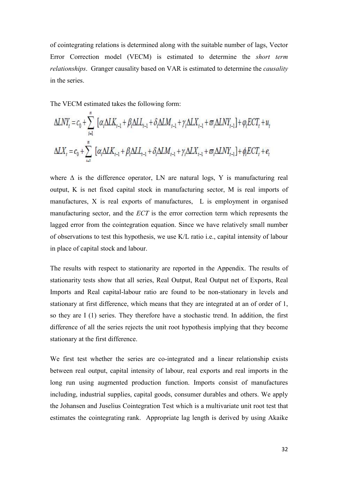of cointegrating relations is determined along with the suitable number of lags, Vector Error Correction model (VECM) is estimated to determine the *short term* relationships. Granger causality based on VAR is estimated to determine the *causality* in the series.

The VECM estimated takes the following form:

$$
\begin{aligned} \Delta L N Y_t & = c_0 + \sum_{i=1}^n \left[ \alpha_i \Delta L K_{t-1} + \beta_i \Delta L L_{t-1} + \delta_i \Delta L M_{t-1} + \gamma_i \Delta L X_{t-1} + \varpi_i \Delta L N Y_{t-1} \right] + \varphi_i E C T_t + u_t \\ \Delta L X_t & = c_0 + \sum_{i=1}^n \left[ \alpha_i \Delta L K_{t-1} + \beta_i \Delta L L_{t-1} + \delta_i \Delta L M_{t-1} + \gamma_i \Delta L X_{t-1} + \varpi_i \Delta L N Y_{t-1} \right] + \varphi_i E C T_t + e_t \end{aligned}
$$

where  $\Delta$  is the difference operator, LN are natural logs, Y is manufacturing real output, K is net fixed capital stock in manufacturing sector, M is real imports of manufactures, X is real exports of manufactures, L is employment in organised manufacturing sector, and the *ECT* is the error correction term which represents the lagged error from the cointegration equation. Since we have relatively small number of observations to test this hypothesis, we use K/L ratio i.e., capital intensity of labour in place of capital stock and labour.

The results with respect to stationarity are reported in the Appendix. The results of stationarity tests show that all series, Real Output, Real Output net of Exports, Real Imports and Real capital-labour ratio are found to be non-stationary in levels and stationary at first difference, which means that they are integrated at an of order of 1, so they are I (1) series. They therefore have a stochastic trend. In addition, the first difference of all the series rejects the unit root hypothesis implying that they become stationary at the first difference.

We first test whether the series are co-integrated and a linear relationship exists between real output, capital intensity of labour, real exports and real imports in the long run using augmented production function. Imports consist of manufactures including, industrial supplies, capital goods, consumer durables and others. We apply the Johansen and Juselius Cointegration Test which is a multivariate unit root test that estimates the cointegrating rank. Appropriate lag length is derived by using Akaike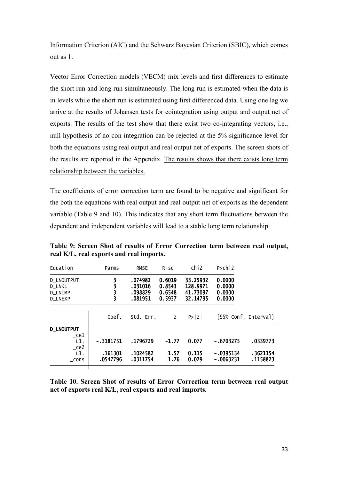Information Criterion (AIC) and the Schwarz Bayesian Criterion (SBIC), which comes out as 1.

Vector Error Correction models (VECM) mix levels and first differences to estimate the short run and long run simultaneously. The long run is estimated when the data is in levels while the short run is estimated using first differenced data. Using one lag we arrive at the results of Johansen tests for cointegration using output and output net of exports. The results of the test show that there exist two co-integrating vectors, i.e., null hypothesis of no con-integration can be rejected at the 5% significance level for both the equations using real output and real output net of exports. The screen shots of the results are reported in the Appendix. The results shows that there exists long term relationship between the variables.

The coefficients of error correction term are found to be negative and significant for the both the equations with real output and real output net of exports as the dependent variable (Table 9 and 10). This indicates that any short term fluctuations between the dependent and independent variables will lead to a stable long term relationship.

| Equation                                                 | Parms               | <b>RMSE</b>                              | $R-SQ$                               | chi <sub>2</sub>                             | $P >$ chi $2$                        |                      |
|----------------------------------------------------------|---------------------|------------------------------------------|--------------------------------------|----------------------------------------------|--------------------------------------|----------------------|
| D_LNOUTPUT<br>D_LNKL<br><b>D LNIMP</b><br><b>D LNEXP</b> | 3                   | .074982<br>.031016<br>.098829<br>.081951 | 0.6019<br>0.8543<br>0.6548<br>0.5937 | 33.25932<br>128.9971<br>41.73097<br>32.14795 | 0.0000<br>0.0000<br>0.0000<br>0.0000 |                      |
|                                                          | Coef.               | Std. Err.                                | Z.                                   | P >  Z                                       |                                      | [95% Conf. Interval] |
| <b>D_LNOUTPUT</b><br>$\mathsf{\_}$ ce $1$                |                     |                                          |                                      |                                              |                                      |                      |
| L1.                                                      | $-0.3181751$        | .1796729                                 | $-1.77$                              | 0.077                                        | $-.6703275$                          | .0339773             |
| $\mathsf{c}$ e2<br>L1.<br>$\_cons$                       | .161301<br>.0547796 | .1024582<br>.0311754                     | 1.57<br>1.76                         | 0.115<br>0.079                               | $-.0395134$<br>-.0063231             | .3621154<br>.1158823 |

Table 9: Screen Shot of results of Error Correction term between real output, real K/L, real exports and real imports.

Table 10. Screen Shot of results of Error Correction term between real output net of exports real K/L, real exports and real imports.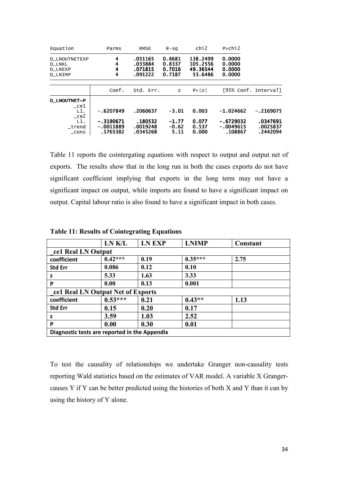| Equation                                                                  | Parms                                  | <b>RMSE</b>                              | $R-SQ$                               | chi2                                        | $P >$ chi $2$                         |                                  |
|---------------------------------------------------------------------------|----------------------------------------|------------------------------------------|--------------------------------------|---------------------------------------------|---------------------------------------|----------------------------------|
| <b>D LNOUTNETEXP</b><br><b>D LNKL</b><br><b>D LNEXP</b><br><b>D LNIMP</b> | 4<br>4<br>4<br>4                       | .051165<br>.033884<br>.071815<br>.091222 | 0.8681<br>0.8337<br>0.7016<br>0.7187 | 138.2499<br>105.2556<br>49.36544<br>53.6486 | 0.0000<br>0.0000<br>0.0000<br>0.0000  |                                  |
|                                                                           | Coef.                                  | Std. Err.                                | Z.                                   | P >  Z                                      | [95% Conf. Interval]                  |                                  |
| D_LNOUTNET~P<br>ce1<br>L1.<br>ce2                                         | $-.6207849$                            | .2060637                                 | $-3.01$                              | 0.003                                       | $-1.024662$                           | $-.2169075$                      |
| L1.<br>trend<br>$\_cons$                                                  | $-.3190671$<br>$-.0011889$<br>.1765382 | .180532<br>.0019248<br>.0345268          | $-1.77$<br>$-0.62$<br>5.11           | 0.077<br>0.537<br>0.000                     | $-.6729032$<br>$-.0049615$<br>.108867 | .0347691<br>.0025837<br>.2442094 |

Table 11 reports the cointergating equations with respect to output and output net of exports. The results show that in the long run in both the cases exports do not have significant coefficient implying that exports in the long term may not have a significant impact on output, while imports are found to have a significant impact on output. Capital labour ratio is also found to have a significant impact in both cases.

|                                               | LN K/L    | <b>LN EXP</b> | <b>LNIMP</b> | Constant |  |  |  |  |
|-----------------------------------------------|-----------|---------------|--------------|----------|--|--|--|--|
| cel Real LN Output                            |           |               |              |          |  |  |  |  |
| coefficient                                   | $0.42***$ | 0.19          | $0.35***$    | 2.75     |  |  |  |  |
| <b>Std Err</b>                                | 0.086     | 0.12          | 0.10         |          |  |  |  |  |
| z                                             | 5.33      | 1.63          | 3.33         |          |  |  |  |  |
| P                                             | 0.00      | 0.13          | 0.001        |          |  |  |  |  |
| cel Real LN Output Net of Exports             |           |               |              |          |  |  |  |  |
| coefficient                                   | $0.53***$ | 0.21          | $0.43**$     | 1.13     |  |  |  |  |
| <b>Std Err</b>                                | 0.15      | 0.20          | 0.17         |          |  |  |  |  |
| z                                             | 3.59      | 1.03          | 2.52         |          |  |  |  |  |
| P                                             | 0.00      | 0.30          | 0.01         |          |  |  |  |  |
| Diagnostic tests are reported in the Appendix |           |               |              |          |  |  |  |  |

**Table 11: Results of Cointegrating Equations** 

To test the causality of relationships we undertake Granger non-causality tests reporting Wald statistics based on the estimates of VAR model. A variable X Grangercauses Y if Y can be better predicted using the histories of both X and Y than it can by using the history of Y alone.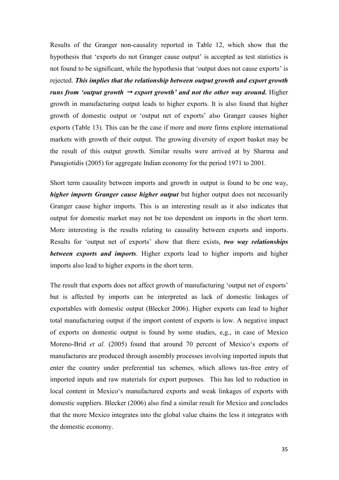Results of the Granger non-causality reported in Table 12, which show that the hypothesis that 'exports do not Granger cause output' is accepted as test statistics is not found to be significant, while the hypothesis that 'output does not cause exports' is rejected. This implies that the relationship between output growth and export growth *runs from 'output growth*  $\rightarrow$  *export growth' and not the other way around.* Higher growth in manufacturing output leads to higher exports. It is also found that higher growth of domestic output or 'output net of exports' also Granger causes higher exports (Table 13). This can be the case if more and more firms explore international markets with growth of their output. The growing diversity of export basket may be the result of this output growth. Similar results were arrived at by Sharma and Panagiotidis (2005) for aggregate Indian economy for the period 1971 to 2001.

Short term causality between imports and growth in output is found to be one way, higher imports Granger cause higher output but higher output does not necessarily Granger cause higher imports. This is an interesting result as it also indicates that output for domestic market may not be too dependent on imports in the short term. More interesting is the results relating to causality between exports and imports. Results for 'output net of exports' show that there exists, *two way relationships between exports and imports.* Higher exports lead to higher imports and higher imports also lead to higher exports in the short term.

The result that exports does not affect growth of manufacturing 'output net of exports' but is affected by imports can be interpreted as lack of domestic linkages of exportables with domestic output (Blecker 2006). Higher exports can lead to higher total manufacturing output if the import content of exports is low. A negative impact of exports on domestic output is found by some studies, e,g., in case of Mexico Moreno-Brid et al. (2005) found that around 70 percent of Mexico's exports of manufactures are produced through assembly processes involving imported inputs that enter the country under preferential tax schemes, which allows tax-free entry of imported inputs and raw materials for export purposes. This has led to reduction in local content in Mexico's manufactured exports and weak linkages of exports with domestic suppliers. Blecker (2006) also find a similar result for Mexico and concludes that the more Mexico integrates into the global value chains the less it integrates with the domestic economy.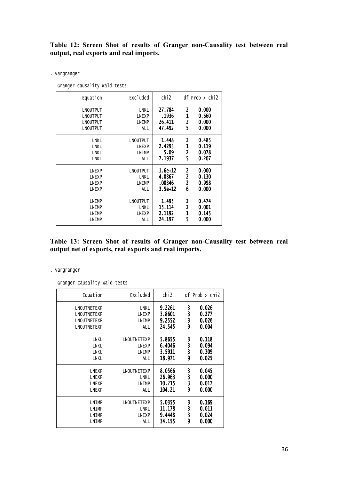# Table 12: Screen Shot of results of Granger non-Causality test between real output, real exports and real imports.

. vargranger

Granger causality Wald tests

| Equation     | Excluded | chi <sub>2</sub> |                         | $df$ Prob $>$ chi2 |
|--------------|----------|------------------|-------------------------|--------------------|
| LNOUTPUT     | LNKL     | 27.784           | 2                       | 0.000              |
| LNOUTPUT     | LNEXP    | .1936            | $\mathbf{1}$            | 0.660              |
| LNOUTPUT     | LNIMP    | 26.411           | $\overline{2}$          | 0.000              |
| LNOUTPUT     | ALL      | 47.492           | 5                       | 0.000              |
| LNKL         | LNOUTPUT | 1.448            | 2                       | 0.485              |
| LNKL         | LNEXP    | 2.4293           | $\mathbf{1}$            | 0.119              |
| LNKL         | LNIMP    | 5.09             | $\overline{\mathbf{c}}$ | 0.078              |
| LNKL         | ALL      | 7.1937           | 5                       | 0.207              |
| LNEXP        | LNOUTPUT | $1.6e + 12$      | 2                       | 0.000              |
| <b>LNEXP</b> | LNKL     | 4.0867           | $\overline{\mathbf{c}}$ | 0.130              |
| LNEXP        | LNIMP    | .00346           | $\overline{2}$          | 0.998              |
| LNEXP        | ALL      | $3.5e+12$        | 6                       | 0.000              |
| LNIMP        | LNOUTPUT | 1.495            | $\overline{c}$          | 0.474              |
| LNIMP        | LNKL     | 15.114           | $\overline{a}$          | 0.001              |
| LNIMP        | LNEXP    | 2.1192           | $\mathbf{1}$            | 0.145              |
| LNIMP        | ALL      | 24.197           | 5                       | 0.000              |

Table 13: Screen Shot of results of Granger non-Causality test between real output net of exports, real exports and real imports.

#### . vargranger

Granger causality Wald tests

| Equation                                                 | Excluded                             | chi2                                 |                  | $df$ Prob $>$ chi2               |
|----------------------------------------------------------|--------------------------------------|--------------------------------------|------------------|----------------------------------|
| LNOUTNETEXP<br>LNOUTNETEXP<br>LNOUTNETEXP<br>LNOUTNETEXP | LNKL<br><b>LNEXP</b><br>LNIMP<br>ALL | 9.2261<br>3.8601<br>9.2552<br>24.545 | 3<br>3<br>3<br>9 | 0.026<br>0.277<br>0.026<br>0.004 |
| LNKL                                                     | LNOUTNETEXP                          | 5.8655                               | 3                | 0.118                            |
| LNKL                                                     | <b>LNEXP</b>                         | 6.4046                               | 3                | 0.094                            |
| LNKL                                                     | LNIMP                                | 3.5911                               | 3                | 0.309                            |
| LNKL                                                     | ALL                                  | 18.971                               | 9                | 0.025                            |
| <b>LNEXP</b>                                             | LNOUTNETEXP                          | 8.0566                               | 3                | 0.045                            |
| <b>LNEXP</b>                                             | LNKL                                 | 26.963                               | 3                | 0.000                            |
| <b>LNEXP</b>                                             | LNIMP                                | 10.215                               | 3                | 0.017                            |
| <b>LNEXP</b>                                             | ALL                                  | 104.21                               | 9                | 0.000                            |
| LNIMP                                                    | LNOUTNETEXP                          | 5.0355                               | 3                | 0.169                            |
| LNIMP                                                    | LNKL                                 | 11.178                               | 3                | 0.011                            |
| LNIMP                                                    | LNEXP                                | 9.4448                               | 3                | 0.024                            |
| LNIMP                                                    | ALL                                  | 34.155                               | 9                | 0.000                            |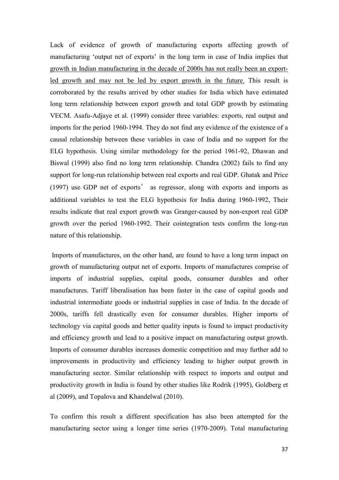Lack of evidence of growth of manufacturing exports affecting growth of manufacturing 'output net of exports' in the long term in case of India implies that growth in Indian manufacturing in the decade of 2000s has not really been an exportled growth and may not be led by export growth in the future. This result is corroborated by the results arrived by other studies for India which have estimated long term relationship between export growth and total GDP growth by estimating VECM. Asafu-Adjaye et al. (1999) consider three variables: exports, real output and imports for the period 1960-1994. They do not find any evidence of the existence of a causal relationship between these variables in case of India and no support for the ELG hypothesis. Using similar methodology for the period 1961-92, Dhawan and Biswal (1999) also find no long term relationship. Chandra (2002) fails to find any support for long-run relationship between real exports and real GDP. Ghatak and Price  $(1997)$  use GDP net of exports' as regressor, along with exports and imports as additional variables to test the ELG hypothesis for India during 1960-1992, Their results indicate that real export growth was Granger-caused by non-export real GDP growth over the period 1960-1992. Their cointegration tests confirm the long-run nature of this relationship.

 Imports of manufactures, on the other hand, are found to have a long term impact on growth of manufacturing output net of exports. Imports of manufactures comprise of imports of industrial supplies, capital goods, consumer durables and other manufactures. Tariff liberalisation has been faster in the case of capital goods and industrial intermediate goods or industrial supplies in case of India. In the decade of 2000s, tariffs fell drastically even for consumer durables. Higher imports of technology via capital goods and better quality inputs is found to impact productivity and efficiency growth and lead to a positive impact on manufacturing output growth. Imports of consumer durables increases domestic competition and may further add to improvements in productivity and efficiency leading to higher output growth in manufacturing sector. Similar relationship with respect to imports and output and productivity growth in India is found by other studies like Rodrik (1995), Goldberg et al (2009), and Topalova and Khandelwal (2010).

To confirm this result a different specification has also been attempted for the manufacturing sector using a longer time series (1970-2009). Total manufacturing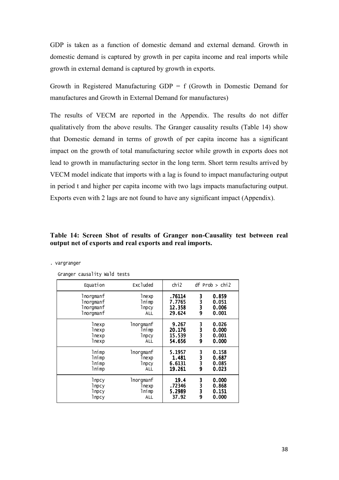GDP is taken as a function of domestic demand and external demand. Growth in domestic demand is captured by growth in per capita income and real imports while growth in external demand is captured by growth in exports.

Growth in Registered Manufacturing  $GDP = f$  (Growth in Domestic Demand for manufactures and Growth in External Demand for manufactures)

The results of VECM are reported in the Appendix. The results do not differ qualitatively from the above results. The Granger causality results (Table 14) show that Domestic demand in terms of growth of per capita income has a significant impact on the growth of total manufacturing sector while growth in exports does not lead to growth in manufacturing sector in the long term. Short term results arrived by VECM model indicate that imports with a lag is found to impact manufacturing output in period t and higher per capita income with two lags impacts manufacturing output. Exports even with 2 lags are not found to have any significant impact (Appendix).

#### Table 14: Screen Shot of results of Granger non-Causality test between real **l** output net of exports and real exports and real imports.

| Equation  | Excluded      | ch <sub>12</sub> |   | $df$ Prob $>$ chi2 |
|-----------|---------------|------------------|---|--------------------|
| lnorgmanf | lnexp         | .76114           | 3 | 0.859              |
| 1norgmanf | lnimp         | 7.7765           | 3 | 0.051              |
| lnorgmanf | <b>l</b> npcy | 12.358           | 3 | 0.006              |
| lnorgmanf | <b>ALL</b>    | 29.624           | 9 | 0.001              |
| lnexp     | lnorqmanf     | 9.267            | 3 | 0.026              |
| lnexp     | lnimp         | 20.176           | 3 | 0.000              |
| lnexp     | lnpcy         | 15.539           | 3 | 0.001              |
| lnexp     | <b>ALL</b>    | 54.656           | 9 | 0.000              |
| lnimp     | lnorqmanf     | 5.1957           | 3 | 0.158              |
| lnimp     | lnexp         | 1.481            | 3 | 0.687              |
| lnimp     | lnpcy         | 6.6131           | 3 | 0.085              |
| lnimp     | <b>ALL</b>    | 19.261           | 9 | 0.023              |
| lnpcy     | lnorqmanf     | 19.4             | 3 | 0.000              |
| lnpcy     | lnexp         | .72346           | 3 | 0.868              |
| lnpcy     | lnimp         | 5.2989           | 3 | 0.151              |
| lnpcy     | <b>ALL</b>    | 37.92            | 9 | 0.000              |

Sranger causality Wald tosts

. vargranger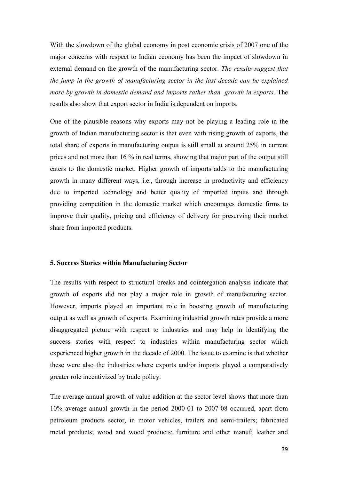With the slowdown of the global economy in post economic crisis of 2007 one of the major concerns with respect to Indian economy has been the impact of slowdown in external demand on the growth of the manufacturing sector. The results suggest that the jump in the growth of manufacturing sector in the last decade can be explained more by growth in domestic demand and imports rather than growth in exports. The results also show that export sector in India is dependent on imports.

One of the plausible reasons why exports may not be playing a leading role in the growth of Indian manufacturing sector is that even with rising growth of exports, the total share of exports in manufacturing output is still small at around 25% in current prices and not more than 16 % in real terms, showing that major part of the output still caters to the domestic market. Higher growth of imports adds to the manufacturing growth in many different ways, i.e., through increase in productivity and efficiency due to imported technology and better quality of imported inputs and through providing competition in the domestic market which encourages domestic firms to improve their quality, pricing and efficiency of delivery for preserving their market share from imported products.

#### **5. Success Stories within Manufacturing Sector**

The results with respect to structural breaks and cointergation analysis indicate that growth of exports did not play a major role in growth of manufacturing sector. However, imports played an important role in boosting growth of manufacturing output as well as growth of exports. Examining industrial growth rates provide a more disaggregated picture with respect to industries and may help in identifying the success stories with respect to industries within manufacturing sector which experienced higher growth in the decade of 2000. The issue to examine is that whether these were also the industries where exports and/or imports played a comparatively greater role incentivized by trade policy.

The average annual growth of value addition at the sector level shows that more than 10% average annual growth in the period 2000-01 to 2007-08 occurred, apart from petroleum products sector, in motor vehicles, trailers and semi-trailers; fabricated metal products; wood and wood products; furniture and other manuf; leather and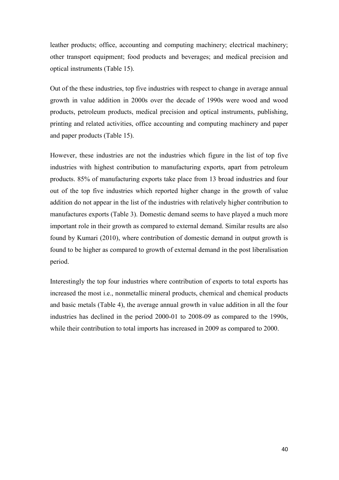leather products; office, accounting and computing machinery; electrical machinery; other transport equipment; food products and beverages; and medical precision and optical instruments (Table 15).

Out of the these industries, top five industries with respect to change in average annual growth in value addition in 2000s over the decade of 1990s were wood and wood products, petroleum products, medical precision and optical instruments, publishing, printing and related activities, office accounting and computing machinery and paper and paper products (Table 15).

However, these industries are not the industries which figure in the list of top five industries with highest contribution to manufacturing exports, apart from petroleum products. 85% of manufacturing exports take place from 13 broad industries and four out of the top five industries which reported higher change in the growth of value addition do not appear in the list of the industries with relatively higher contribution to manufactures exports (Table 3). Domestic demand seems to have played a much more important role in their growth as compared to external demand. Similar results are also found by Kumari (2010), where contribution of domestic demand in output growth is found to be higher as compared to growth of external demand in the post liberalisation period.

Interestingly the top four industries where contribution of exports to total exports has increased the most i.e., nonmetallic mineral products, chemical and chemical products and basic metals (Table 4), the average annual growth in value addition in all the four industries has declined in the period 2000-01 to 2008-09 as compared to the 1990s, while their contribution to total imports has increased in 2009 as compared to 2000.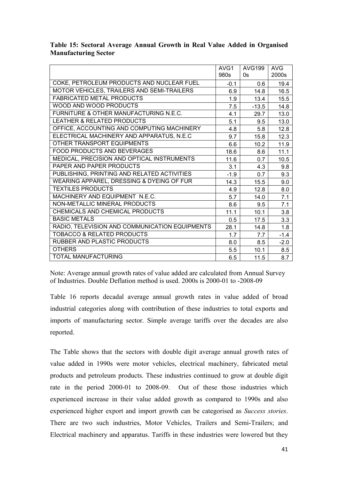|                                                | AVG1<br>980s | <b>AVG199</b><br>0s | <b>AVG</b><br>2000s |
|------------------------------------------------|--------------|---------------------|---------------------|
| COKE, PETROLEUM PRODUCTS AND NUCLEAR FUEL      |              |                     |                     |
|                                                | $-0.1$       | 0.6                 | 19.4                |
| MOTOR VEHICLES, TRAILERS AND SEMI-TRAILERS     | 6.9          | 14.8                | 16.5                |
| <b>FABRICATED METAL PRODUCTS</b>               | 1.9          | 13.4                | 15.5                |
| WOOD AND WOOD PRODUCTS                         | 7.5          | $-13.5$             | 14.8                |
| FURNITURE & OTHER MANUFACTURING N.E.C.         | 4.1          | 29.7                | 13.0                |
| <b>LEATHER &amp; RELATED PRODUCTS</b>          | 5.1          | 9.5                 | 13.0                |
| OFFICE, ACCOUNTING AND COMPUTING MACHINERY     | 4.8          | 5.8                 | 12.8                |
| ELECTRICAL MACHINERY AND APPARATUS, N.E.C      | 9.7          | 15.8                | 12.3                |
| OTHER TRANSPORT EQUIPMENTS                     | 6.6          | 10.2                | 11.9                |
| <b>FOOD PRODUCTS AND BEVERAGES</b>             | 18.6         | 8.6                 | 11.1                |
| MEDICAL, PRECISION AND OPTICAL INSTRUMENTS     | 11.6         | 0.7                 | 10.5                |
| PAPER AND PAPER PRODUCTS                       | 3.1          | 4.3                 | 9.8                 |
| PUBLISHING, PRINTING AND RELATED ACTIVITIES    | $-1.9$       | 0.7                 | 9.3                 |
| WEARING APPAREL, DRESSING & DYEING OF FUR      | 14.3         | 15.5                | 9.0                 |
| <b>TEXTILES PRODUCTS</b>                       | 4.9          | 12.8                | 8.0                 |
| MACHINERY AND EQUIPMENT N.E.C.                 | 5.7          | 14.0                | 7.1                 |
| NON-METALLIC MINERAL PRODUCTS                  | 8.6          | 9.5                 | 7.1                 |
| CHEMICALS AND CHEMICAL PRODUCTS                | 11.1         | 10.1                | 3.8                 |
| <b>BASIC METALS</b>                            | 0.5          | 17.5                | 3.3                 |
| RADIO, TELEVISION AND COMMUNICATION EQUIPMENTS | 28.1         | 14.8                | 1.8                 |
| <b>TOBACCO &amp; RELATED PRODUCTS</b>          | 1.7          | 7.7                 | $-1.4$              |
| RUBBER AND PLASTIC PRODUCTS                    | 8.0          | 8.5                 | $-2.0$              |
| <b>OTHERS</b>                                  | 5.5          | 10.1                | 8.5                 |
| TOTAL MANUFACTURING                            | 6.5          | 11.5                | 8.7                 |

# Table 15: Sectoral Average Annual Growth in Real Value Added in Organised **Manufacturing Sector**

Note: Average annual growth rates of value added are calculated from Annual Survey of Industries Double Deflation method is used 2000s is 2000-01 to -2008-09

Table 16 reports decadal average annual growth rates in value added of broad industrial categories along with contribution of these industries to total exports and imports of manufacturing sector. Simple average tariffs over the decades are also reported.

The Table shows that the sectors with double digit average annual growth rates of value added in 1990s were motor vehicles, electrical machinery, fabricated metal products and petroleum products. These industries continued to grow at double digit rate in the period 2000-01 to 2008-09. Out of these those industries which experienced increase in their value added growth as compared to 1990s and also experienced higher export and import growth can be categorised as *Success stories*. There are two such industries, Motor Vehicles, Trailers and Semi-Trailers; and Electrical machinery and apparatus. Tariffs in these industries were lowered but they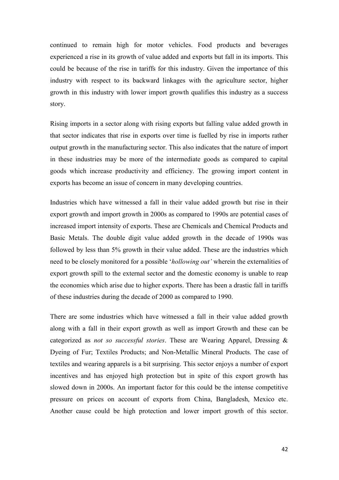continued to remain high for motor vehicles. Food products and beverages experienced a rise in its growth of value added and exports but fall in its imports. This could be because of the rise in tariffs for this industry. Given the importance of this industry with respect to its backward linkages with the agriculture sector, higher growth in this industry with lower import growth qualifies this industry as a success story.

Rising imports in a sector along with rising exports but falling value added growth in that sector indicates that rise in exports over time is fuelled by rise in imports rather output growth in the manufacturing sector. This also indicates that the nature of import in these industries may be more of the intermediate goods as compared to capital goods which increase productivity and efficiency. The growing import content in exports has become an issue of concern in many developing countries.

Industries which have witnessed a fall in their value added growth but rise in their export growth and import growth in 2000s as compared to 1990s are potential cases of increased import intensity of exports. These are Chemicals and Chemical Products and Basic Metals. The double digit value added growth in the decade of 1990s was followed by less than 5% growth in their value added. These are the industries which need to be closely monitored for a possible 'hollowing out' wherein the externalities of export growth spill to the external sector and the domestic economy is unable to reap the economies which arise due to higher exports. There has been a drastic fall in tariffs of these industries during the decade of 2000 as compared to 1990.

There are some industries which have witnessed a fall in their value added growth along with a fall in their export growth as well as import Growth and these can be categorized as *not so successful stories*. These are Wearing Apparel, Dressing & Dyeing of Fur; Textiles Products; and Non-Metallic Mineral Products. The case of textiles and wearing apparels is a bit surprising. This sector enjoys a number of export incentives and has enjoyed high protection but in spite of this export growth has slowed down in 2000s. An important factor for this could be the intense competitive pressure on prices on account of exports from China, Bangladesh, Mexico etc. Another cause could be high protection and lower import growth of this sector.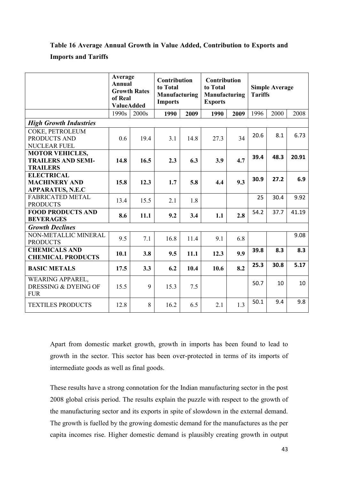# Table 16 Average Annual Growth in Value Added, Contribution to Exports and **Imports and Tariffs**

|                                                                        | Average<br>Annual<br>of Real<br><b>ValueAdded</b> | <b>Growth Rates</b> | <b>Contribution</b><br>to Total<br>Manufacturing<br><b>Imports</b> |      | <b>Contribution</b><br>to Total<br>Manufacturing<br><b>Exports</b> |      | <b>Tariffs</b> | <b>Simple Average</b> |       |
|------------------------------------------------------------------------|---------------------------------------------------|---------------------|--------------------------------------------------------------------|------|--------------------------------------------------------------------|------|----------------|-----------------------|-------|
|                                                                        | 1990s                                             | 2000s               | 1990                                                               | 2009 | 1990                                                               | 2009 | 1996           | 2000                  | 2008  |
| <b>High Growth Industries</b>                                          |                                                   |                     |                                                                    |      |                                                                    |      |                |                       |       |
| <b>COKE, PETROLEUM</b><br>PRODUCTS AND<br>NUCLEAR FUEL                 | 0.6                                               | 19.4                | 3.1                                                                | 14.8 | 27.3                                                               | 34   | 20.6           | 8.1                   | 6.73  |
| <b>MOTOR VEHICLES,</b><br><b>TRAILERS AND SEMI-</b><br><b>TRAILERS</b> | 14.8                                              | 16.5                | 2.3                                                                | 6.3  | 3.9                                                                | 4.7  | 39.4           | 48.3                  | 20.91 |
| <b>ELECTRICAL</b><br><b>MACHINERY AND</b><br><b>APPARATUS, N.E.C</b>   | 15.8                                              | 12.3                | 1.7                                                                | 5.8  | 4.4                                                                | 9.3  | 30.9           | 27.2                  | 6.9   |
| <b>FABRICATED METAL</b><br><b>PRODUCTS</b>                             | 13.4                                              | 15.5                | 2.1                                                                | 1.8  |                                                                    |      | 25             | 30.4                  | 9.92  |
| <b>FOOD PRODUCTS AND</b><br><b>BEVERAGES</b>                           | 8.6                                               | 11.1                | 9.2                                                                | 3.4  | 1.1                                                                | 2.8  | 54.2           | 37.7                  | 41.19 |
| <b>Growth Declines</b>                                                 |                                                   |                     |                                                                    |      |                                                                    |      |                |                       |       |
| NON-METALLIC MINERAL<br><b>PRODUCTS</b>                                | 9.5                                               | 7.1                 | 16.8                                                               | 11.4 | 9.1                                                                | 6.8  |                |                       | 9.08  |
| <b>CHEMICALS AND</b><br><b>CHEMICAL PRODUCTS</b>                       | 10.1                                              | 3.8                 | 9.5                                                                | 11.1 | 12.3                                                               | 9.9  | 39.8           | 8.3                   | 8.3   |
| <b>BASIC METALS</b>                                                    | 17.5                                              | 3.3                 | 6.2                                                                | 10.4 | 10.6                                                               | 8.2  | 25.3           | 30.8                  | 5.17  |
| <b>WEARING APPAREL,</b><br>DRESSING & DYEING OF<br><b>FUR</b>          | 15.5                                              | 9                   | 15.3                                                               | 7.5  |                                                                    |      | 50.7           | 10                    | 10    |
| <b>TEXTILES PRODUCTS</b>                                               | 12.8                                              | 8                   | 16.2                                                               | 6.5  | 2.1                                                                | 1.3  | 50.1           | 9.4                   | 9.8   |

Apart from domestic market growth, growth in imports has been found to lead to growth in the sector. This sector has been over-protected in terms of its imports of intermediate goods as well as final goods.

These results have a strong connotation for the Indian manufacturing sector in the post 2008 global crisis period. The results explain the puzzle with respect to the growth of the manufacturing sector and its exports in spite of slowdown in the external demand. The growth is fuelled by the growing domestic demand for the manufactures as the per capita incomes rise. Higher domestic demand is plausibly creating growth in output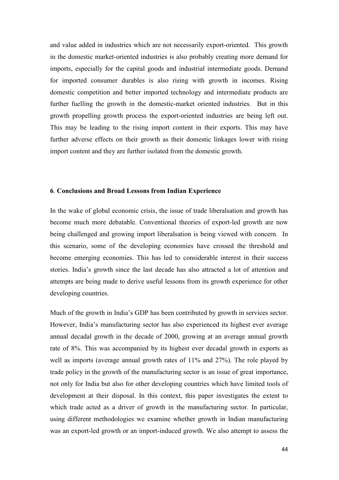and value added in industries which are not necessarily export-oriented. This growth in the domestic market-oriented industries is also probably creating more demand for imports, especially for the capital goods and industrial intermediate goods. Demand for imported consumer durables is also rising with growth in incomes. Rising domestic competition and better imported technology and intermediate products are further fuelling the growth in the domestic-market oriented industries. But in this growth propelling growth process the export-oriented industries are being left out. This may be leading to the rising import content in their exports. This may have further adverse effects on their growth as their domestic linkages lower with rising import content and they are further isolated from the domestic growth.

#### 6. Conclusions and Broad Lessons from Indian Experience

In the wake of global economic crisis, the issue of trade liberalsation and growth has become much more debatable. Conventional theories of export-led growth are now being challenged and growing import liberalsation is being viewed with concern. In this scenario, some of the developing economies have crossed the threshold and become emerging economies. This has led to considerable interest in their success stories. India's growth since the last decade has also attracted a lot of attention and attempts are being made to derive useful lessons from its growth experience for other developing countries.

Much of the growth in India's GDP has been contributed by growth in services sector. However, India's manufacturing sector has also experienced its highest ever average annual decadal growth in the decade of 2000, growing at an average annual growth rate of 8%. This was accompanied by its highest ever decadal growth in exports as well as imports (average annual growth rates of 11% and 27%). The role played by trade policy in the growth of the manufacturing sector is an issue of great importance, not only for India but also for other developing countries which have limited tools of development at their disposal. In this context, this paper investigates the extent to which trade acted as a driver of growth in the manufacturing sector. In particular, using different methodologies we examine whether growth in Indian manufacturing was an export-led growth or an import-induced growth. We also attempt to assess the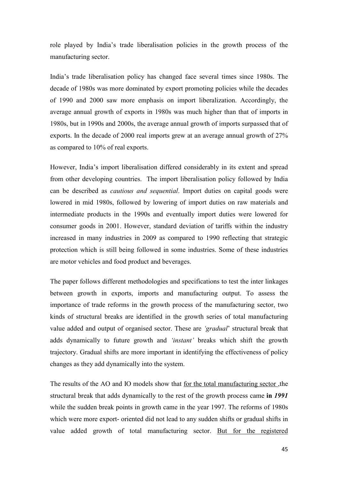role played by India's trade liberalisation policies in the growth process of the manufacturing sector.

India's trade liberalisation policy has changed face several times since 1980s. The decade of 1980s was more dominated by export promoting policies while the decades of 1990 and 2000 saw more emphasis on import liberalization. Accordingly, the average annual growth of exports in 1980s was much higher than that of imports in 1980s, but in 1990s and 2000s, the average annual growth of imports surpassed that of exports. In the decade of 2000 real imports grew at an average annual growth of 27% as compared to 10% of real exports.

However, India's import liberalisation differed considerably in its extent and spread from other developing countries. The import liberalisation policy followed by India can be described as *cautious and sequential*. Import duties on capital goods were lowered in mid 1980s, followed by lowering of import duties on raw materials and intermediate products in the 1990s and eventually import duties were lowered for consumer goods in 2001. However, standard deviation of tariffs within the industry increased in many industries in 2009 as compared to 1990 reflecting that strategic protection which is still being followed in some industries. Some of these industries are motor vehicles and food product and beverages.

The paper follows different methodologies and specifications to test the inter linkages between growth in exports, imports and manufacturing output. To assess the importance of trade reforms in the growth process of the manufacturing sector, two kinds of structural breaks are identified in the growth series of total manufacturing value added and output of organised sector. These are 'gradual' structural break that adds dynamically to future growth and 'instant' breaks which shift the growth trajectory. Gradual shifts are more important in identifying the effectiveness of policy changes as they add dynamically into the system.

The results of the AO and IO models show that for the total manufacturing sector ,the structural break that adds dynamically to the rest of the growth process came in 1991 while the sudden break points in growth came in the year 1997. The reforms of 1980s which were more export- oriented did not lead to any sudden shifts or gradual shifts in value added growth of total manufacturing sector. But for the registered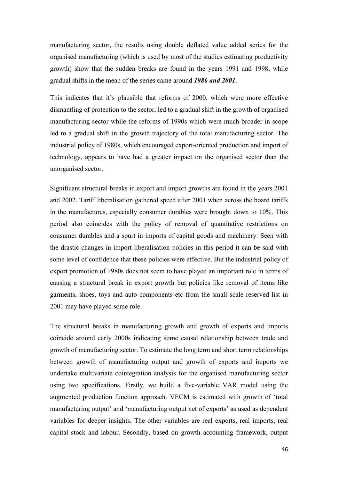manufacturing sector, the results using double deflated value added series for the organised manufacturing (which is used by most of the studies estimating productivity growth) show that the sudden breaks are found in the years 1991 and 1998, while gradual shifts in the mean of the series came around **1986 and 2001**.

This indicates that it's plausible that reforms of 2000, which were more effective dismantling of protection to the sector, led to a gradual shift in the growth of organised manufacturing sector while the reforms of 1990s which were much broader in scope led to a gradual shift in the growth trajectory of the total manufacturing sector. The industrial policy of 1980s, which encouraged export-oriented production and import of technology, appears to have had a greater impact on the organised sector than the unorganised sector.

Significant structural breaks in export and import growths are found in the years 2001 and 2002. Tariff liberalisation gathered speed after 2001 when across the board tariffs in the manufactures, especially consumer durables were brought down to 10%. This period also coincides with the policy of removal of quantitative restrictions on consumer durables and a spurt in imports of capital goods and machinery. Seen with the drastic changes in import liberalisation policies in this period it can be said with some level of confidence that these policies were effective. But the industrial policy of export promotion of 1980s does not seem to have played an important role in terms of causing a structural break in export growth but policies like removal of items like garments, shoes, toys and auto components etc from the small scale reserved list in 2001 may have played some role.

The structural breaks in manufacturing growth and growth of exports and imports coincide around early 2000s indicating some causal relationship between trade and growth of manufacturing sector. To estimate the long term and short term relationships between growth of manufacturing output and growth of exports and imports we undertake multivariate cointegration analysis for the organised manufacturing sector using two specifications. Firstly, we build a five-variable VAR model using the augmented production function approach. VECM is estimated with growth of 'total manufacturing output' and 'manufacturing output net of exports' as used as dependent variables for deeper insights. The other variables are real exports, real imports, real capital stock and labour. Secondly, based on growth accounting framework, output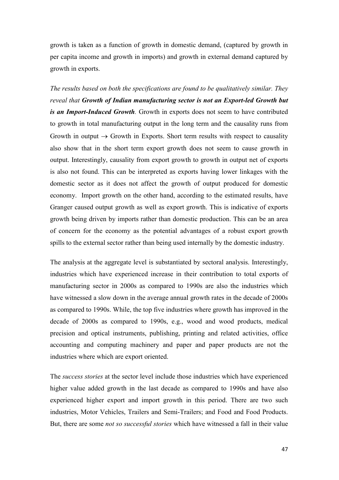growth is taken as a function of growth in domestic demand, (captured by growth in per capita income and growth in imports) and growth in external demand captured by growth in exports.

The results based on both the specifications are found to be qualitatively similar. They reveal that **Growth of Indian manufacturing sector is not an Export-led Growth but** is an Import-Induced Growth. Growth in exports does not seem to have contributed to growth in total manufacturing output in the long term and the causality runs from Growth in output  $\rightarrow$  Growth in Exports. Short term results with respect to causality also show that in the short term export growth does not seem to cause growth in output. Interestingly, causality from export growth to growth in output net of exports is also not found. This can be interpreted as exports having lower linkages with the domestic sector as it does not affect the growth of output produced for domestic economy. Import growth on the other hand, according to the estimated results, have Granger caused output growth as well as export growth. This is indicative of exports growth being driven by imports rather than domestic production. This can be an area of concern for the economy as the potential advantages of a robust export growth spills to the external sector rather than being used internally by the domestic industry.

The analysis at the aggregate level is substantiated by sectoral analysis. Interestingly, industries which have experienced increase in their contribution to total exports of manufacturing sector in 2000s as compared to 1990s are also the industries which have witnessed a slow down in the average annual growth rates in the decade of 2000s as compared to 1990s. While, the top five industries where growth has improved in the decade of 2000s as compared to 1990s, e.g., wood and wood products, medical precision and optical instruments, publishing, printing and related activities, office accounting and computing machinery and paper and paper products are not the industries where which are export oriented.

The *success stories* at the sector level include those industries which have experienced higher value added growth in the last decade as compared to 1990s and have also experienced higher export and import growth in this period. There are two such industries, Motor Vehicles, Trailers and Semi-Trailers; and Food and Food Products. But, there are some *not so successful stories* which have witnessed a fall in their value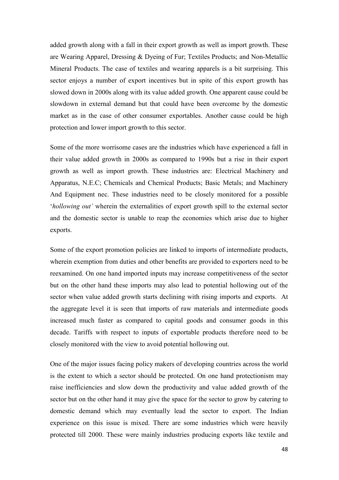added growth along with a fall in their export growth as well as import growth. These are Wearing Apparel, Dressing & Dyeing of Fur; Textiles Products; and Non-Metallic Mineral Products. The case of textiles and wearing apparels is a bit surprising. This sector enjoys a number of export incentives but in spite of this export growth has slowed down in 2000s along with its value added growth. One apparent cause could be slowdown in external demand but that could have been overcome by the domestic market as in the case of other consumer exportables. Another cause could be high protection and lower import growth to this sector.

Some of the more worrisome cases are the industries which have experienced a fall in their value added growth in 2000s as compared to 1990s but a rise in their export growth as well as import growth. These industries are: Electrical Machinery and Apparatus, N.E.C; Chemicals and Chemical Products; Basic Metals; and Machinery And Equipment nec. These industries need to be closely monitored for a possible *'hollowing out'* wherein the externalities of export growth spill to the external sector and the domestic sector is unable to reap the economies which arise due to higher exports.

Some of the export promotion policies are linked to imports of intermediate products, wherein exemption from duties and other benefits are provided to exporters need to be reexamined. On one hand imported inputs may increase competitiveness of the sector but on the other hand these imports may also lead to potential hollowing out of the sector when value added growth starts declining with rising imports and exports. At the aggregate level it is seen that imports of raw materials and intermediate goods increased much faster as compared to capital goods and consumer goods in this decade. Tariffs with respect to inputs of exportable products therefore need to be closely monitored with the view to avoid potential hollowing out.

One of the major issues facing policy makers of developing countries across the world is the extent to which a sector should be protected. On one hand protectionism may raise inefficiencies and slow down the productivity and value added growth of the sector but on the other hand it may give the space for the sector to grow by catering to domestic demand which may eventually lead the sector to export. The Indian experience on this issue is mixed. There are some industries which were heavily protected till 2000. These were mainly industries producing exports like textile and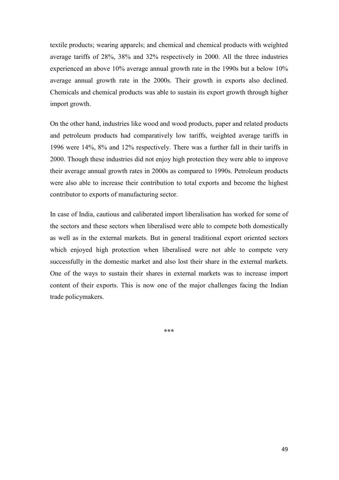textile products; wearing apparels; and chemical and chemical products with weighted average tariffs of 28%, 38% and 32% respectively in 2000. All the three industries experienced an above 10% average annual growth rate in the 1990s but a below 10% average annual growth rate in the 2000s. Their growth in exports also declined. Chemicals and chemical products was able to sustain its export growth through higher import growth.

On the other hand, industries like wood and wood products, paper and related products and petroleum products had comparatively low tariffs, weighted average tariffs in 1996 were 14%, 8% and 12% respectively. There was a further fall in their tariffs in 2000. Though these industries did not enjoy high protection they were able to improve their average annual growth rates in 2000s as compared to 1990s. Petroleum products were also able to increase their contribution to total exports and become the highest contributor to exports of manufacturing sector.

In case of India, cautious and caliberated import liberalisation has worked for some of the sectors and these sectors when liberalised were able to compete both domestically as well as in the external markets. But in general traditional export oriented sectors which enjoyed high protection when liberalised were not able to compete very successfully in the domestic market and also lost their share in the external markets. One of the ways to sustain their shares in external markets was to increase import content of their exports. This is now one of the major challenges facing the Indian trade policymakers.

**BBB**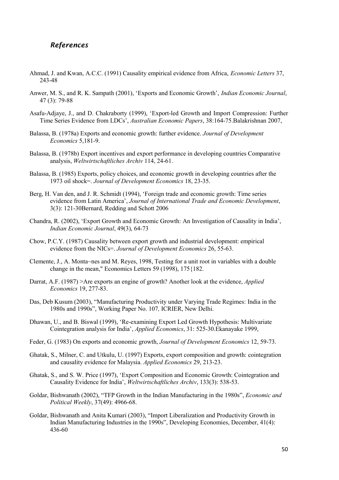#### *-*

- Ahmad, J. and Kwan, A.C.C. (1991) Causality empirical evidence from Africa, *Economic Letters* 37, 243-48
- Anwer, M. S., and R. K. Sampath (2001), 'Exports and Economic Growth', *Indian Economic Journal*, 47 (3): 79-88
- Asafu-Adjaye, J., and D. Chakraborty (1999), 'Export-led Growth and Import Compression: Further Time Series Evidence from LDCs', Australian Economic Papers, 38:164-75. Balakrishnan 2007,
- Balassa, B. (1978a) Exports and economic growth: further evidence. *Journal of Development* 5,181-9.
- Balassa, B. (1978b) Export incentives and export performance in developing countries Comparative analysis, *Weltwirtschaftliches Archiv* 114, 24-61.
- Balassa, B. (1985) Exports, policy choices, and economic growth in developing countries after the 1973 oil shock=. *Journal of Development Economics* 18, 23-35.
- Berg, H. Van den, and J. R. Schmidt (1994), 'Foreign trade and economic growth: Time series evidence from Latin America', Journal of International Trade and Economic Development, 3(3): 121-30Bernard, Redding and Schott 2006
- Chandra, R. (2002), 'Export Growth and Economic Growth: An Investigation of Causality in India', Indian Economic Journal, 49(3), 64-73
- Chow, P.C.Y. (1987) Causality between export growth and industrial development: empirical evidence from the NICs=. *Journal of Development Economics* 26, 55-63.
- Clemente, J., A. Monta~nes and M. Reyes, 1998, Testing for a unit root in variables with a double change in the mean," Economics Letters 59 (1998), 175{182.
- Darrat, A.F. (1987) > Are exports an engine of growth? Another look at the evidence, *Applied Economics* 19, 277-83.
- Das, Deb Kusum (2003), "Manufacturing Productivity under Varying Trade Regimes: India in the 1980s and 1990s", Working Paper No. 107, ICRIER, New Delhi.
- Dhawan, U., and B. Biswal (1999), 'Re-examining Export Led Growth Hypothesis: Multivariate Cointegration analysis for India', *Applied Economics*, 31: 525-30. Ekanayake 1999,
- Feder, G. (1983) On exports and economic growth, *Journal of Development Economics* 12, 59-73.
- Ghatak, S., Milner, C. and Utkulu, U. (1997) Exports, export composition and growth: cointegration and causality evidence for Malaysia. *Applied Economics* 29, 213-23.
- Ghatak, S., and S. W. Price (1997), 'Export Composition and Economic Growth: Cointegration and Causality Evidence for India', *Weltwirtschaftliches Archiv*, 133(3): 538-53.
- Goldar, Bishwanath (2002), "TFP Growth in the Indian Manufacturing in the 1980s",  *Political Weekly*, 37(49): 4966-68.
- Goldar, Bishwanath and Anita Kumari (2003), "Import Liberalization and Productivity Growth in Indian Manufacturing Industries in the 1990s", Developing Economies, December, 41(4): 436-60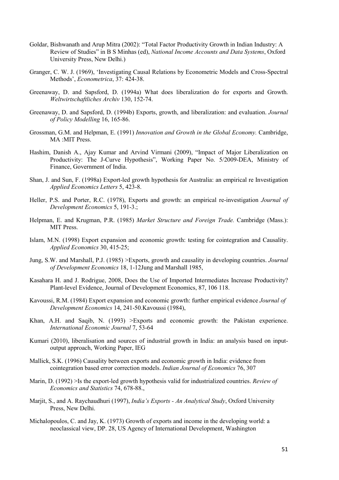- Goldar, Bishwanath and Arup Mitra (2002): "Total Factor Productivity Growth in Indian Industry: A Review of Studies" in B S Minhas (ed), *National Income Accounts and Data Systems*, Oxford University Press, New Delhi.)
- Granger, C. W. J. (1969), 'Investigating Causal Relations by Econometric Models and Cross-Spectral Methods', *-* , 37: 424-38.
- Greenaway, D. and Sapsford, D. (1994a) What does liberalization do for exports and Growth. Weltwirtschaftliches Archiv 130, 152-74.
- Greenaway, D. and Sapsford, D. (1994b) Exports, growth, and liberalization: and evaluation. *Journal* 16, 165-86.
- Grossman, G.M. and Helpman, E. (1991) *Innovation and Growth in the Global Economy*. Cambridge, MA :MIT Press.
- Hashim, Danish A., Ajay Kumar and Arvind Virmani (2009), "Impact of Major Liberalization on Productivity: The J-Curve Hypothesis", Working Paper No. 5/2009-DEA, Ministry of Finance, Government of India.
- Shan, J. and Sun, F. (1998a) Export-led growth hypothesis for Australia: an empirical re Investigation Applied Economics Letters 5, 423-8.
- Heller, P.S. and Porter, R.C. (1978), Exports and growth: an empirical re-investigation *Journal of* Development Economics 5, 191-3.;
- Helpman, E. and Krugman, P.R. (1985) Market Structure and Foreign Trade. Cambridge (Mass.): MIT Press.
- Islam, M.N. (1998) Export expansion and economic growth: testing for cointegration and Causality. *-""* 30, 415-25;
- Jung, S.W. and Marshall, P.J. (1985) > Exports, growth and causality in developing countries. *Journal* of Development Economics 18, 1-12Jung and Marshall 1985,
- Kasahara H. and J. Rodrigue, 2008, Does the Use of Imported Intermediates Increase Productivity? Plant-level Evidence, Journal of Development Economics, 87, 106 118.
- Kavoussi, R.M. (1984) Export expansion and economic growth: further empirical evidence *Journal of* Development Economics 14, 241-50.Kavoussi (1984),
- Khan, A.H. and Saqib, N. (1993) >Exports and economic growth: the Pakistan experience. International Economic Journal 7, 53-64
- Kumari (2010), liberalisation and sources of industrial growth in India: an analysis based on inputoutput approach, Working Paper, IEG
- Mallick, S.K. (1996) Causality between exports and economic growth in India: evidence from cointegration based error correction models. *Indian Journal of Economics* 76, 307
- Marin, D. (1992) > Is the export-led growth hypothesis valid for industrialized countries. *Review of* Economics and Statistics 74, 678-88.,
- Marjit, S., and A. Raychaudhuri (1997), *India's Exports An Analytical Study*, Oxford University Press, New Delhi.
- Michalopoulos, C. and Jay, K. (1973) Growth of exports and income in the developing world: a neoclassical view, DP. 28, US Agency of International Development, Washington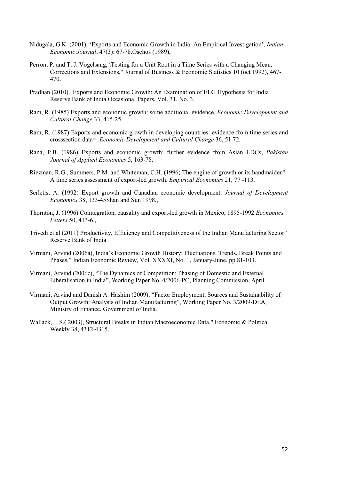- Nidugala, G K. (2001), 'Exports and Economic Growth in India: An Empirical Investigation', *Indian Economic Journal*, 47(3): 67-78.Oschos (1989),
- Perron, P. and T. J. Vogelsang, \Testing for a Unit Root in a Time Series with a Changing Mean: Corrections and Extensions," Journal of Business & Economic Statistics 10 (oct 1992), 467- 470.
- Pradhan (2010). Exports and Economic Growth: An Examination of ELG Hypothesis for India Reserve Bank of India Occasional Papers, Vol. 31, No. 3.
- Ram, R. (1985) Exports and economic growth: some additional evidence, *Economic Development and* Cultural Change 33, 415-25.
- Ram, R. (1987) Exports and economic growth in developing countries: evidence from time series and crosssection data=. *Economic Development and Cultural Change* 36, 51 72.
- Rana, P.B. (1986) Exports and economic growth: further evidence from Asian LDCs, *Pakistan* **Journal of Applied Economics 5, 163-78.**
- Riezman, R.G., Summers, P.M. and Whiteman, C.H. (1996) The engine of growth or its handmaiden? A time series assessment of export-led growth. *Empirical Economics* 21, 77 -113.
- Serletis, A. (1992) Export growth and Canadian economic development. Journal of Development 38, 133-45Shan and Sun 1998.,
- Thornton, J. (1996) Cointegration, causality and export-led growth in Mexico, 1895-1992  *+

-*50, 413-6.,
- Trivedi et al (2011) [Productivity, Efficiency and Competitiveness of the Indian Manufacturing Sector"](http://www.rbi.org.in/scripts/PublicationsView.aspx?id=13366) Reserve Bank of India
- Virmani, Arvind (2006a), India's Economic Growth History: Fluctuations. Trends, Break Points and Phases," Indian Economic Review, Vol. XXXXI, No. 1, January-June, pp 81-103.
- Virmani, Arvind (2006c), "The Dynamics of Competition: Phasing of Domestic and External Liberalisation in India", Working Paper No. 4/2006-PC, Planning Commission, April.
- Virmani, Arvind and Danish A. Hashim (2009); "Factor Employment, Sources and Sustainability of Output Growth: Analysis of Indian Manufacturing", Working Paper No. 3/2009-DEA, Ministry of Finance, Government of India.
- Wallack, J. S.( 2003), Structural Breaks in Indian Macroeconomic Data," Economic & Political Weekly 38, 4312-4315.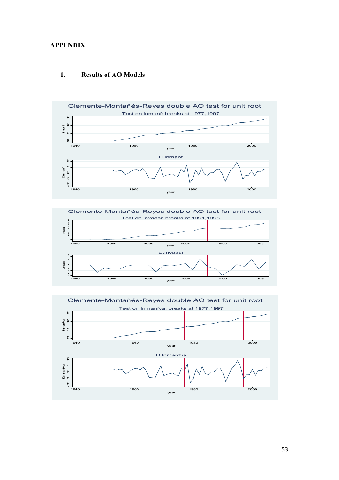#### **APPENDIX**



#### **Results of AO Models** 1.



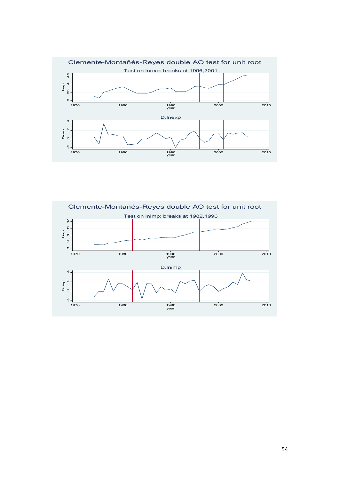

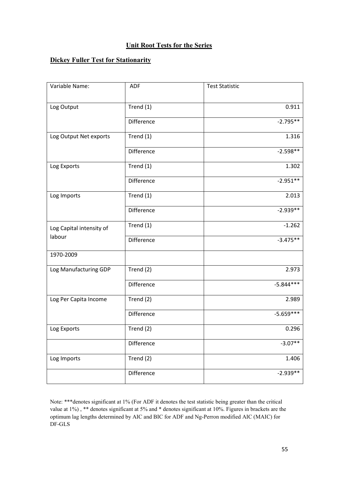# **Unit Root Tests for the Series**

# **Dickey Fuller Test for Stationarity**

| Variable Name:           | ADF               | <b>Test Statistic</b> |
|--------------------------|-------------------|-----------------------|
|                          |                   |                       |
| Log Output               | Trend (1)         | 0.911                 |
|                          | <b>Difference</b> | $-2.795**$            |
| Log Output Net exports   | Trend (1)         | 1.316                 |
|                          | Difference        | $-2.598**$            |
| Log Exports              | Trend (1)         | 1.302                 |
|                          | <b>Difference</b> | $-2.951**$            |
| Log Imports              | Trend (1)         | 2.013                 |
|                          | <b>Difference</b> | $-2.939**$            |
| Log Capital intensity of | Trend (1)         | $-1.262$              |
| labour                   | <b>Difference</b> | $-3.475**$            |
| 1970-2009                |                   |                       |
| Log Manufacturing GDP    | Trend (2)         | 2.973                 |
|                          | <b>Difference</b> | $-5.844***$           |
| Log Per Capita Income    | Trend (2)         | 2.989                 |
|                          | Difference        | $-5.659***$           |
| Log Exports              | Trend (2)         | 0.296                 |
|                          | Difference        | $-3.07**$             |
| Log Imports              | Trend (2)         | 1.406                 |
|                          | Difference        | $-2.939**$            |

Note: \*\*\*denotes significant at 1% (For ADF it denotes the test statistic being greater than the critical value at 1%) , \*\* denotes significant at 5% and \* denotes significant at 10%. Figures in brackets are the optimum lag lengths determined by AIC and BIC for ADF and Ng-Perron modified AIC (MAIC) for DF-GLS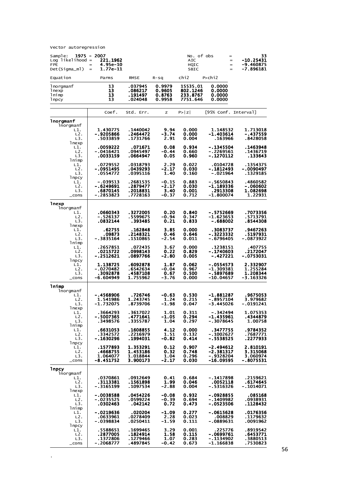Vector autoregression

 $\mathbb{Z}^2$ 

| Sample:<br>1975 - 2007<br>$Log$ likelihood =<br><b>FPE</b><br>=<br>Det(Sigma_ml) | 221.1962<br>4.95e-10<br>1.77e-11<br>$=$          |                                                |                                      | No. of obs<br><b>AIC</b><br>HQIC<br>SBIC     |                                                      | 33<br>=<br>-10.25431<br>$\qquad \qquad =$<br>-9.460875<br>$=$<br>-7.896181<br>$=$ |
|----------------------------------------------------------------------------------|--------------------------------------------------|------------------------------------------------|--------------------------------------|----------------------------------------------|------------------------------------------------------|-----------------------------------------------------------------------------------|
| Equation                                                                         | Parms                                            | <b>RMSE</b>                                    | $R-Sq$                               | chi2                                         | $P >$ chi2                                           |                                                                                   |
| lnorgmanf<br>lnexp<br>lnimp<br>lnpcy                                             | 13<br>13<br>13<br>13                             | .037945<br>.086217<br>. 191497<br>.024048      | 0.9979<br>0.9605<br>0.8763<br>0.9958 | 15535.01<br>802.1246<br>233.8767<br>7751.646 | 0.0000<br>0.0000<br>0.0000<br>0.0000                 |                                                                                   |
|                                                                                  | Coef.                                            | Std. Err.                                      | z                                    | P >  Z                                       |                                                      | [95% Conf. Interval]                                                              |
| lnorgmanf<br>lnorgmanf                                                           |                                                  |                                                |                                      |                                              |                                                      |                                                                                   |
| L1.<br>L2.<br>L3.                                                                | 1.430775<br>$-.9205866$<br>. 5033859             | .1440042<br>.2464472<br>.1731766               | 9.94<br>$-3.74$<br>2.91              | 0.000<br>0.000<br>0.004                      | 1.148532<br>$-1.403614$<br>.163966                   | 1.713018<br>- .437559<br>.8428058                                                 |
| lnexp<br>L1.<br>L2.<br>L3.                                                       | .0059222<br>-.0416421<br>.0033159                | .071671<br>.0945497<br>.0664947                | 0.08<br>-0.44<br>0.05                | 0.934<br>0.660<br>0.960                      | - 1345504<br>-.2269561<br>-.1270112                  | . 1463948<br>. 1436719<br>.133643                                                 |
| lnimp<br>L1.<br>L2.<br>L3.                                                       | .0729552<br>- 0951495<br>.0554772                | .0318793<br>.0439293<br>.0395116               | 2.29<br>$-2.17$<br>1.40              | 0.022<br>0.030<br>0.160                      | .0104728<br>$-.1812493$<br>-.021964                  | .1354375<br>$-0090497$<br>.1329185                                                |
| 1 npcy<br>L1.<br>L <sub>2</sub> .<br>L3.<br>$\_cons$                             | -.039513<br>-.6249691<br>.6870145<br>$-.2853823$ | .2681535<br>.2879477<br>.2018831<br>.7728163   | -0.15<br>-2.17<br>3.40<br>$-0.37$    | 0.883<br>0.030<br>0.001<br>0.712             | -.5650843<br>$-1.189336$<br>. 2913308<br>$-1.800074$ | .4860582<br>-.060602<br>1.082698<br>1.22931                                       |
| lnexp                                                                            |                                                  |                                                |                                      |                                              |                                                      |                                                                                   |
| lnorgmanf<br>L1.<br>L2.<br>L3.                                                   | .0660343<br>-.526137<br>.0832144                 | .3272005<br>.5599675<br>.393485                | 0.20<br>-0.94<br>0.21                | 0.840<br>0.347<br>0.833                      | -.5752669<br>$-1.623653$<br>- .688002                | .7073356<br>.5713791<br>.8544308                                                  |
| lnexp<br>L1.<br>L2.<br>L3.                                                       | .62755<br>.09873<br>-.3835164                    | .162848<br>.2148321<br>.1510865                | 3.85<br>0.46<br>-2.54                | 0.000<br>0.646<br>0.011                      | . 3083737<br>$-.3223332$<br>-.6796405                | .9467263<br>. 5197931<br>-.0873922                                                |
| lnimp<br>L1.<br>L2.<br>L3.<br>1 <sub>npcy</sub>                                  | .2657851<br>.0215722<br>-.2512621                | .072435<br>.0998143<br>.0897766                | 3.67<br>0.22<br>$-2.80$              | 0.000<br>0.829<br>0.005                      | .1238151<br>-.1740603<br>-.427221                    | .407755<br>.2172047<br>- .0753031                                                 |
| L1.<br>L2.<br>L3.<br>$\_cons$                                                    | 1.138725<br>$-.0270482$<br>.3092878<br>-6.604949 | .6092878<br>.6542634<br>.4587108<br>1.755962   | 1.87<br>$-0.04$<br>0.67<br>$-3.76$   | 0.062<br>0.967<br>0.500<br>0.000             | $-.0554573$<br>-1.309381<br>-.5897689<br>-10.04657   | 2.332907<br>1.255284<br>1.208344<br>-3.163326                                     |
| <b>lnimp</b>                                                                     |                                                  |                                                |                                      |                                              |                                                      |                                                                                   |
| lnorgmanf<br>L1.<br>L2.<br>L3.                                                   | - 4568906<br>1.541986<br>-1.732075               | .726746<br>1.243745<br>.8739706                | $-0.63$<br>1.24<br>-1.98             | 0.530<br>0.215<br>0.047                      | -1.881287<br>$-.8957104$<br>-3.445026                | . 9675053<br>3.979682<br>-.0191241                                                |
| <b>l</b> nexp<br>L1.<br>L2.<br>L3.<br>lnimp                                      | .3664293<br>-.5007365<br>.3498576                | .3617022<br>.4771641<br>.3355787               | 1.01<br>$-1.05$<br>1.04              | 0.311<br>0.294<br>0.297                      | -.342494<br>-1.435961<br>-.3078645                   | 1.075353<br>.4344879<br>1.00758                                                   |
| L1.<br>L2.<br>L3.<br>1 <sub>npcy</sub>                                           | . 6631053<br>.3342572<br>-.1630296               | .1608855<br>.2216979<br>. 1994031              | 4.12<br>1.51<br>-0.82                | 0.000<br>0.132<br>0.414                      | .3477755<br>$-.1002627$<br>$-.5538525$               | .9784352<br>.7687771<br>.2277933                                                  |
| L1.<br>L2.<br>L3.<br>$\_cons$                                                    | . 1577893<br>.4668755<br>1.064077<br>$-8.451752$ | 1.353291<br>1.453186<br>1.018844<br>3.900173   | 0.12<br>0.32<br>1.04<br>-2.17        | 0.907<br>0.748<br>0.296<br>0.030             | $-2.494612$<br>$-2.381317$<br>-.9328204<br>-16.09595 | 2.810191<br>3.315068<br>3.060974<br>-.8075531                                     |
| <b>lnpcy</b><br>lnorgmanf                                                        |                                                  |                                                |                                      |                                              |                                                      |                                                                                   |
| L1.<br>L2.<br>L3.<br>lnexp                                                       | .0370861<br>. 3113381<br>-.3165199               | .0912649<br>.1561898<br>. 1097534              | 0.41<br>1.99<br>-2.88                | 0.684<br>0.046<br>0.004                      | $-.1417898$<br>.0052118<br>-.5316326                 | .2159621<br>.6174645<br>-.1014071                                                 |
| L1.<br>L2.<br>L3.<br>lnimp                                                       | $-.0038588$<br>$-.0235525$<br>.0302463           | .0454226<br>.0599224<br>.042142                | $-0.08$<br>$-0.39$<br>0.72           | 0.932<br>0.694<br>0.473                      | $-.0928855$<br>- . 1409982<br>$-.0523506$            | .085168<br>.0938931<br>.1128432                                                   |
| L1.<br>L2.<br>L3.                                                                | $-.0219636$<br>.0633961<br>-.0398834             | .020204<br>.0278409<br>.0250411                | -1.09<br>2.28<br>$-1.59$             | 0.277<br>0.023<br>0.111                      | $-.0615628$<br>.008829<br>-.0889631                  | .0176356<br>.1179632<br>.0091962                                                  |
| 1 <sub>npcy</sub><br>L1.<br>L <sub>2</sub> .<br>L3.<br>$\_cons$                  | .5588651<br>.2877005<br>.1372806<br>- .2068777   | . 1699465<br>. 1824914<br>.1279466<br>.4897845 | 3.29<br>1.58<br>1.07<br>-0.42        | 0.001<br>0.115<br>0.283<br>0.673             | .225776<br>-.0699761<br>-.1134902<br>$-1.166838$     | .8919542<br>.6453771<br>.3880513<br>.7530823                                      |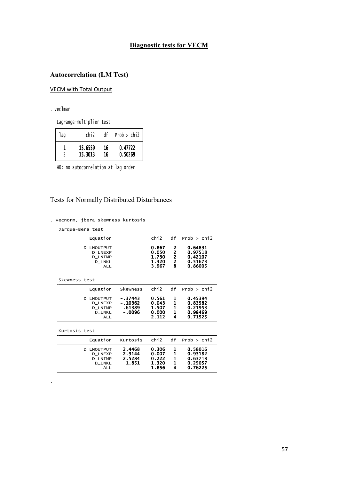# **Diagnostic tests for VECM**

# **Autocorrelation (LM Test)**

### **VECM with Total Output**

. veclmar

Lagrange-multiplier test

| laq | chi <sub>2</sub> | df | Prob > chi2 |
|-----|------------------|----|-------------|
|     | 15.6559          | 16 | 0.47722     |
|     | 15.3013          | 16 | 0.50269     |

HO: no autocorrelation at lag order

# **Tests for Normally Distributed Disturbances**

. vecnorm, jbera skewness kurtosis

Jarque-Bera test

| Equation                                                                      | chi2                                      |                  | $df$ Prob $>$ chi2                                  |
|-------------------------------------------------------------------------------|-------------------------------------------|------------------|-----------------------------------------------------|
| D_LNOUTPUT<br><b>D LNEXP</b><br><b>D LNIMP</b><br><b>D LNKL</b><br><b>ALL</b> | 0.867<br>0.050<br>1.730<br>1.320<br>3.967 | 2<br>2<br>2<br>8 | 0.64831<br>0.97518<br>0.42107<br>0.51673<br>0.86005 |

Skewness test

| Equation                                                        | Skewness                                     | chi2                                      |                    | $df$ Prob $>$ chi2                                  |
|-----------------------------------------------------------------|----------------------------------------------|-------------------------------------------|--------------------|-----------------------------------------------------|
| D_LNOUTPUT<br><b>D LNEXP</b><br><b>D LNIMP</b><br>D_LNKL<br>ALL | $-.37443$<br>$-.10362$<br>.61389<br>$-.0096$ | 0.561<br>0.043<br>1.507<br>0.000<br>2.112 | 1.<br>1.<br>1<br>1 | 0.45394<br>0.83582<br>0.21953<br>0.98469<br>0.71525 |

Kurtosis test

| Equation                                                                             | Kurtosis                            | chi2                                      |                                | $df$ Prob $>$ chi2                                  |
|--------------------------------------------------------------------------------------|-------------------------------------|-------------------------------------------|--------------------------------|-----------------------------------------------------|
| <b>D LNOUTPUT</b><br><b>D LNEXP</b><br><b>D LNIMP</b><br><b>D LNKL</b><br><b>ALL</b> | 2.4468<br>2.9144<br>2.5284<br>1.851 | 0.306<br>0.007<br>0.222<br>1.320<br>1.856 | 1.<br>$\mathbf{1}$<br>-1<br>-1 | 0.58016<br>0.93182<br>0.63718<br>0.25057<br>0.76225 |